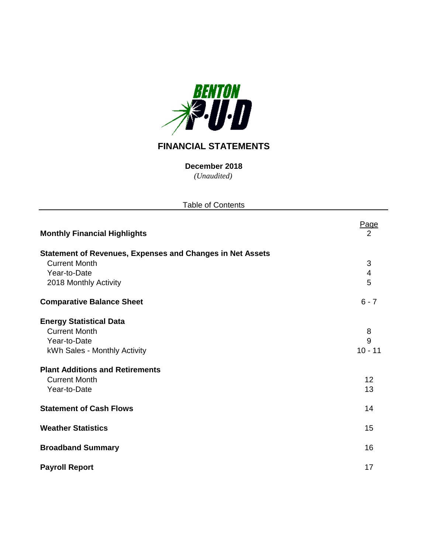

# **FINANCIAL STATEMENTS**

*(Unaudited)* **December 2018**

Table of Contents

Page **Monthly Financial Highlights** 2 **Statement of Revenues, Expenses and Changes in Net Assets Current Month** 3 Year-to-Date 4<br>
2018 Monthly Activity 5 2018 Monthly Activity **Comparative Balance Sheet** 6 - 7 **Energy Statistical Data** Current Month 8 Year-to-Date 9 kWh Sales - Monthly Activity 10 - 11 **Plant Additions and Retirements Current Month** 12 **The Vear-to-Date** 13 **Statement of Cash Flows** 14 **Weather Statistics** 15 **Broadband Summary** 16

**Payroll Report** 17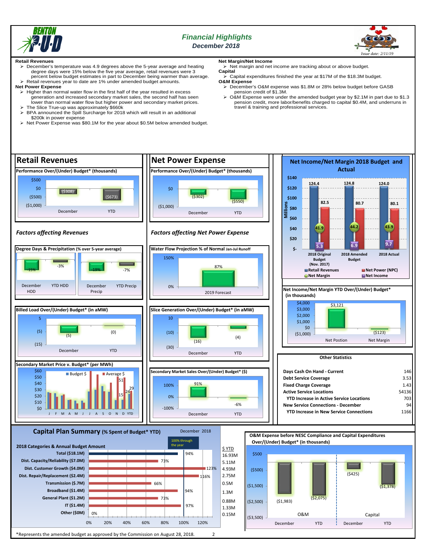

# *Financial Highlights December 2018*



#### **Retail Revenues**

- December's temperature was 4.9 degrees above the 5-year average and heating degree days were 15% below the five year average, retail revenues were 3 percent below budget estimates in part to December being warmer than average. Retail revenues year to date are 1% under amended budget amounts.
- **Net Power Expense**
- $\triangleright$  Higher than normal water flow in the first half of the year resulted in excess generation and increased secondary market sales, the second half has seen lower than normal water flow but higher power and secondary market prices. The Slice True-up was approximately \$660k
- BPA announced the Spill Surcharge for 2018 which will result in an additional \$200k in power expense
- > Net Power Expense was \$80.1M for the year about \$0.5M below amended budget.

# **Net Margin/Net Income**

 $\triangleright$  Net margin and net income are tracking about or above budget. **Capital**

- Capital expenditures finished the year at \$17M of the \$18.3M budget. **O&M Expense** December's O&M expense was \$1.8M or 28% below budget before GASB
	- pension credit of \$1.3M.
	- O&M Expense were under the amended budget year by \$2.1M in part due to \$1.3 pension credit, more labor/benefits charged to capital \$0.4M, and underruns in travel & training and professional services.

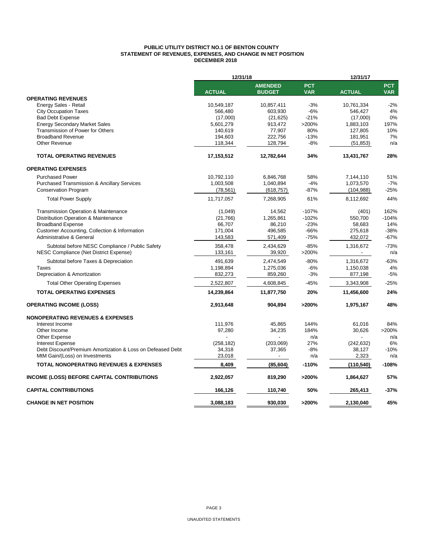#### **PUBLIC UTILITY DISTRICT NO.1 OF BENTON COUNTY STATEMENT OF REVENUES, EXPENSES, AND CHANGE IN NET POSITION DECEMBER 2018**

|                                                            | 12/31/18      |                                 |                          | 12/31/17      |                          |  |
|------------------------------------------------------------|---------------|---------------------------------|--------------------------|---------------|--------------------------|--|
|                                                            | <b>ACTUAL</b> | <b>AMENDED</b><br><b>BUDGET</b> | <b>PCT</b><br><b>VAR</b> | <b>ACTUAL</b> | <b>PCT</b><br><b>VAR</b> |  |
| <b>OPERATING REVENUES</b>                                  |               |                                 |                          |               |                          |  |
| Energy Sales - Retail                                      | 10,549,187    | 10,857,411                      | $-3%$                    | 10,761,334    | $-2%$                    |  |
| <b>City Occupation Taxes</b>                               | 566,480       | 603,930                         | $-6%$                    | 546,427       | 4%                       |  |
| <b>Bad Debt Expense</b>                                    | (17,000)      | (21, 625)                       | $-21%$                   | (17,000)      | 0%                       |  |
| <b>Energy Secondary Market Sales</b>                       | 5,601,279     | 913,472                         | >200%                    | 1,883,103     | 197%                     |  |
| Transmission of Power for Others                           | 140,619       | 77,907                          | 80%                      | 127,805       | 10%                      |  |
| <b>Broadband Revenue</b>                                   | 194,603       | 222,756                         | $-13%$                   | 181,951       | 7%                       |  |
| Other Revenue                                              | 118,344       | 128,794                         | $-8%$                    | (51, 853)     | n/a                      |  |
| <b>TOTAL OPERATING REVENUES</b>                            | 17,153,512    | 12,782,644                      | 34%                      | 13,431,767    | 28%                      |  |
| <b>OPERATING EXPENSES</b>                                  |               |                                 |                          |               |                          |  |
| <b>Purchased Power</b>                                     | 10,792,110    | 6,846,768                       | 58%                      | 7,144,110     | 51%                      |  |
| <b>Purchased Transmission &amp; Ancillary Services</b>     | 1,003,508     | 1,040,894                       | $-4%$                    | 1,073,570     | $-7%$                    |  |
| <b>Conservation Program</b>                                | (78, 561)     | (618, 757)                      | $-87%$                   | (104, 988)    | $-25%$                   |  |
| <b>Total Power Supply</b>                                  | 11,717,057    | 7,268,905                       | 61%                      | 8,112,692     | 44%                      |  |
| <b>Transmission Operation &amp; Maintenance</b>            | (1,049)       | 14,562                          | $-107%$                  | (401)         | 162%                     |  |
| Distribution Operation & Maintenance                       | (21,766)      | 1,265,861                       | $-102%$                  | 550,700       | $-104%$                  |  |
| <b>Broadband Expense</b>                                   | 66.707        | 86.210                          | $-23%$                   | 58.683        | 14%                      |  |
| Customer Accounting, Collection & Information              | 171,004       | 496,585                         | $-66%$                   | 275,618       | $-38%$                   |  |
| Administrative & General                                   | 143,583       | 571,409                         | $-75%$                   | 432,072       | $-67%$                   |  |
| Subtotal before NESC Compliance / Public Safety            | 358,478       | 2,434,629                       | $-85%$                   | 1,316,672     | $-73%$                   |  |
| NESC Compliance (Net District Expense)                     | 133,161       | 39,920                          | >200%                    |               | n/a                      |  |
| Subtotal before Taxes & Depreciation                       | 491,639       | 2,474,549                       | $-80%$                   | 1,316,672     | $-63%$                   |  |
| Taxes                                                      | 1,198,894     | 1,275,036                       | $-6%$                    | 1,150,038     | 4%                       |  |
| Depreciation & Amortization                                | 832,273       | 859,260                         | $-3%$                    | 877,198       | $-5%$                    |  |
| <b>Total Other Operating Expenses</b>                      | 2,522,807     | 4,608,845                       | -45%                     | 3,343,908     | $-25%$                   |  |
| <b>TOTAL OPERATING EXPENSES</b>                            | 14,239,864    | 11,877,750                      | 20%                      | 11,456,600    | 24%                      |  |
| <b>OPERATING INCOME (LOSS)</b>                             | 2,913,648     | 904,894                         | >200%                    | 1,975,167     | 48%                      |  |
| <b>NONOPERATING REVENUES &amp; EXPENSES</b>                |               |                                 |                          |               |                          |  |
| Interest Income                                            | 111,976       | 45.865                          | 144%                     | 61.016        | 84%                      |  |
| Other Income                                               | 97,280        | 34,235                          | 184%                     | 30,626        | >200%                    |  |
| Other Expense                                              |               |                                 | n/a                      |               | n/a                      |  |
| <b>Interest Expense</b>                                    | (258, 182)    | (203,069)                       | 27%                      | (242, 632)    | 6%                       |  |
| Debt Discount/Premium Amortization & Loss on Defeased Debt | 34,318        | 37,365                          | $-8%$                    | 38,127        | $-10%$                   |  |
| MtM Gain/(Loss) on Investments                             | 23,018        |                                 | n/a                      | 2,323         | n/a                      |  |
| <b>TOTAL NONOPERATING REVENUES &amp; EXPENSES</b>          | 8,409         | (85,604)                        | $-110%$                  | (110,540)     | $-108%$                  |  |
| <b>INCOME (LOSS) BEFORE CAPITAL CONTRIBUTIONS</b>          | 2,922,057     | 819,290                         | >200%                    | 1,864,627     | 57%                      |  |
| <b>CAPITAL CONTRIBUTIONS</b>                               | 166,126       | 110,740                         | 50%                      | 265,413       | $-37%$                   |  |
| <b>CHANGE IN NET POSITION</b>                              | 3,088,183     | 930.030                         | >200%                    | 2,130,040     | 45%                      |  |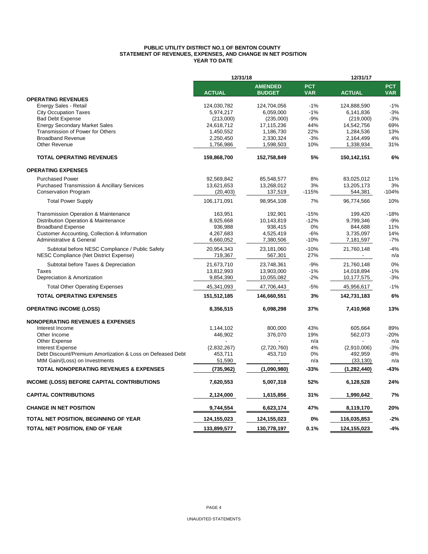#### **PUBLIC UTILITY DISTRICT NO.1 OF BENTON COUNTY STATEMENT OF REVENUES, EXPENSES, AND CHANGE IN NET POSITION YEAR TO DATE**

|                                                                                           | 12/31/18               |                        |            | 12/31/17               |            |  |
|-------------------------------------------------------------------------------------------|------------------------|------------------------|------------|------------------------|------------|--|
|                                                                                           |                        | <b>AMENDED</b>         | <b>PCT</b> |                        | <b>PCT</b> |  |
|                                                                                           | <b>ACTUAL</b>          | <b>BUDGET</b>          | <b>VAR</b> | <b>ACTUAL</b>          | <b>VAR</b> |  |
| <b>OPERATING REVENUES</b>                                                                 |                        |                        |            |                        |            |  |
| Energy Sales - Retail                                                                     | 124,030,782            | 124,704,056            | $-1%$      | 124,888,590            | $-1%$      |  |
| <b>City Occupation Taxes</b>                                                              | 5,974,217              | 6,059,000              | $-1%$      | 6,141,836              | $-3%$      |  |
| <b>Bad Debt Expense</b>                                                                   | (213,000)              | (235,000)              | $-9%$      | (219,000)              | $-3%$      |  |
| <b>Energy Secondary Market Sales</b><br>Transmission of Power for Others                  | 24,618,712             | 17,115,236             | 44%<br>22% | 14,542,756             | 69%<br>13% |  |
| <b>Broadband Revenue</b>                                                                  | 1,450,552<br>2,250,450 | 1,186,730<br>2,330,324 | $-3%$      | 1,284,536<br>2,164,499 | 4%         |  |
| Other Revenue                                                                             | 1,756,986              | 1,598,503              | 10%        | 1,338,934              | 31%        |  |
|                                                                                           |                        |                        |            |                        |            |  |
| <b>TOTAL OPERATING REVENUES</b>                                                           | 159,868,700            | 152,758,849            | 5%         | 150,142,151            | 6%         |  |
| <b>OPERATING EXPENSES</b>                                                                 |                        |                        |            |                        |            |  |
| <b>Purchased Power</b>                                                                    | 92,569,842             | 85,548,577             | 8%         | 83,025,012             | 11%        |  |
| <b>Purchased Transmission &amp; Ancillary Services</b>                                    | 13,621,653             | 13,268,012             | 3%         | 13,205,173             | 3%         |  |
| <b>Conservation Program</b>                                                               | (20, 403)              | 137,519                | $-115%$    | 544,381                | $-104%$    |  |
| <b>Total Power Supply</b>                                                                 | 106,171,091            | 98,954,108             | 7%         | 96,774,566             | 10%        |  |
| Transmission Operation & Maintenance                                                      | 163,951                | 192,901                | $-15%$     | 199,420                | $-18%$     |  |
| Distribution Operation & Maintenance                                                      | 8,925,668              | 10,143,819             | $-12%$     | 9,799,346              | $-9%$      |  |
| <b>Broadband Expense</b>                                                                  | 936,988                | 938,415                | 0%         | 844,688                | 11%        |  |
| Customer Accounting, Collection & Information                                             | 4,267,683              | 4,525,419              | -6%        | 3,735,097              | 14%        |  |
| Administrative & General                                                                  | 6,660,052              | 7,380,506              | $-10%$     | 7,181,597              | $-7%$      |  |
|                                                                                           |                        |                        | $-10%$     |                        | $-4%$      |  |
| Subtotal before NESC Compliance / Public Safety<br>NESC Compliance (Net District Expense) | 20,954,343<br>719,367  | 23,181,060<br>567,301  | 27%        | 21,760,148             | n/a        |  |
| Subtotal before Taxes & Depreciation                                                      | 21,673,710             | 23,748,361             | $-9%$      | 21,760,148             | 0%         |  |
| Taxes                                                                                     | 13,812,993             | 13,903,000             | $-1%$      | 14,018,894             | $-1%$      |  |
| Depreciation & Amortization                                                               | 9,854,390              | 10,055,082             | $-2%$      | 10,177,575             | $-3%$      |  |
| <b>Total Other Operating Expenses</b>                                                     | 45,341,093             | 47,706,443             | $-5%$      | 45,956,617             | $-1%$      |  |
| <b>TOTAL OPERATING EXPENSES</b>                                                           | 151,512,185            | 146,660,551            | 3%         | 142,731,183            | 6%         |  |
|                                                                                           |                        |                        |            |                        |            |  |
| <b>OPERATING INCOME (LOSS)</b>                                                            | 8,356,515              | 6,098,298              | 37%        | 7,410,968              | 13%        |  |
| <b>NONOPERATING REVENUES &amp; EXPENSES</b>                                               |                        |                        |            |                        |            |  |
| Interest Income                                                                           | 1,144,102              | 800,000                | 43%        | 605,664                | 89%        |  |
| Other Income                                                                              | 446,902                | 376,070                | 19%        | 562,073                | $-20%$     |  |
| Other Expense                                                                             |                        |                        | n/a        |                        | n/a        |  |
| <b>Interest Expense</b>                                                                   | (2,832,267)            | (2,720,760)            | 4%         | (2,910,006)            | $-3%$      |  |
| Debt Discount/Premium Amortization & Loss on Defeased Debt                                | 453.711                | 453,710                | 0%         | 492,959                | $-8%$      |  |
| MtM Gain/(Loss) on Investments                                                            | 51,590                 | $\blacksquare$         | n/a        | (33, 130)              | n/a        |  |
| <b>TOTAL NONOPERATING REVENUES &amp; EXPENSES</b>                                         | (735, 962)             | (1,090,980)            | -33%       | (1,282,440)            | -43%       |  |
| <b>INCOME (LOSS) BEFORE CAPITAL CONTRIBUTIONS</b>                                         | 7,620,553              | 5,007,318              | 52%        | 6,128,528              | 24%        |  |
| <b>CAPITAL CONTRIBUTIONS</b>                                                              | 2,124,000              | 1,615,856              | 31%        | 1,990,642              | 7%         |  |
| <b>CHANGE IN NET POSITION</b>                                                             | 9,744,554              | 6,623,174              | 47%        | 8,119,170              | 20%        |  |
| TOTAL NET POSITION, BEGINNING OF YEAR                                                     | 124,155,023            | 124,155,023            | 0%         | 116,035,853            | $-2%$      |  |
| TOTAL NET POSITION, END OF YEAR                                                           | 133,899,577            | 130,778,197            | 0.1%       | 124,155,023            | $-4%$      |  |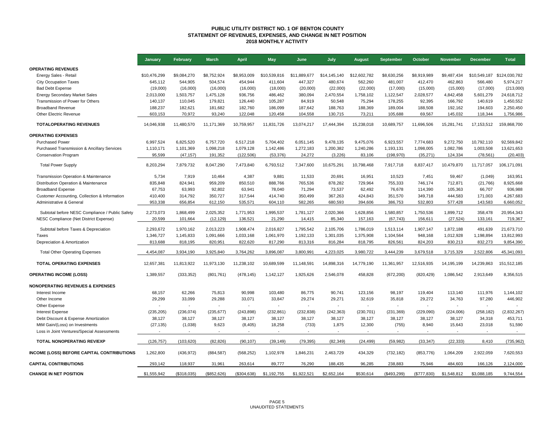#### **PUBLIC UTILITY DISTRICT NO. 1 OF BENTON COUNTY STATEMENT OF REVENUES, EXPENSES, AND CHANGE IN NET POSITION 2018 MONTHLY ACTIVITY**

|                                                   | January      | February    | <b>March</b> | <b>April</b>   | <b>May</b>   | June         | July         | <b>August</b> | September   | October      | <b>November</b> | <b>December</b>          | <b>Total</b>  |
|---------------------------------------------------|--------------|-------------|--------------|----------------|--------------|--------------|--------------|---------------|-------------|--------------|-----------------|--------------------------|---------------|
| <b>OPERATING REVENUES</b>                         |              |             |              |                |              |              |              |               |             |              |                 |                          |               |
| Energy Sales - Retail                             | \$10,476,299 | \$9,084,270 | \$8,752,924  | \$8.953.009    | \$10,539,816 | \$11,889,677 | \$14,145,140 | \$12,602,782  | \$8.630.256 | \$8,919,989  | \$9,487,434     | \$10,549,187             | \$124.030.782 |
| <b>City Occupation Taxes</b>                      | 645,112      | 544,905     | 504,574      | 454,944        | 411,604      | 447,327      | 480,674      | 562,260       | 481,007     | 412,470      | 462,863         | 566,480                  | 5,974,217     |
| <b>Bad Debt Expense</b>                           | (19,000)     | (16,000)    | (16,000)     | (16,000)       | (18,000)     | (20,000)     | (22,000)     | (22,000)      | (17,000)    | (15,000)     | (15,000)        | (17,000)                 | (213,000)     |
| <b>Energy Secondary Market Sales</b>              | 2,013,000    | 1,503,757   | 1,475,128    | 936,756        | 486,462      | 380,094      | 2,470,554    | 1,758,102     | 1,122,547   | 2,028,577    | 4,842,458       | 5,601,279                | 24,618,712    |
| Transmission of Power for Others                  | 140,137      | 110,045     | 179,821      | 126,440        | 105,287      | 84,919       | 50,548       | 75,294        | 178,255     | 92,395       | 166,792         | 140,619                  | 1,450,552     |
| <b>Broadband Revenue</b>                          | 188,237      | 182,621     | 181,682      | 182,760        | 186,099      | 187,642      | 188,763      | 188,369       | 189,004     | 188,508      | 192,162         | 194,603                  | 2,250,450     |
| Other Electric Revenue                            | 603,153      | 70,972      | 93,240       | 122,048        | 120,458      | 104,558      | 130,715      | 73,211        | 105,688     | 69,567       | 145,032         | 118,344                  | 1,756,986     |
| <b>TOTALOPERATING REVENUES</b>                    | 14,046,938   | 11,480,570  | 11,171,369   | 10,759,957     | 11,831,726   | 13,074,217   | 17,444,394   | 15,238,018    | 10,689,757  | 11,696,506   | 15,281,741      | 17, 153, 512             | 159,868,700   |
| <b>OPERATING EXPENSES</b>                         |              |             |              |                |              |              |              |               |             |              |                 |                          |               |
| <b>Purchased Power</b>                            | 6,997,524    | 6,825,520   | 6.757.720    | 6,517,218      | 5,704,402    | 6,051,145    | 9,478,135    | 9,475,076     | 6,923,557   | 7,774,683    | 9,272,750       | 10,792,110               | 92.569.842    |
| Purchased Transmission & Ancillary Services       | 1,110,171    | 1,101,369   | 1,098,218    | 1,079,128      | 1,142,486    | 1,272,183    | 1,200,382    | 1,240,286     | 1,193,131   | 1,098,005    | 1,082,786       | 1,003,508                | 13,621,653    |
| <b>Conservation Program</b>                       | 95,599       | (47, 157)   | 191,352      | (122, 506)     | (53, 376)    | 24,272       | (3,226)      | 83,106        | (198, 970)  | (35, 271)    | 124,334         | (78, 561)                | (20, 403)     |
| <b>Total Power Supply</b>                         | 8,203,294    | 7,879,732   | 8,047,290    | 7,473,840      | 6,793,512    | 7,347,600    | 10,675,291   | 10,798,468    | 7,917,718   | 8,837,417    | 10,479,870      | 11,717,057               | 106,171,091   |
| Transmission Operation & Maintenance              | 5,734        | 7,919       | 10,464       | 4,387          | 9,881        | 11,533       | 20,691       | 16,951        | 10,523      | 7,451        | 59,467          | (1,049)                  | 163,951       |
| Distribution Operation & Maintenance              | 835,848      | 824,941     | 959,209      | 850,510        | 888,766      | 765,536      | 878,282      | 729,964       | 755,333     | 746.174      | 712,871         | (21,766)                 | 8,925,668     |
| <b>Broadband Expense</b>                          | 67,753       | 63,993      | 92,802       | 63,941         | 78,040       | 71,294       | 73,537       | 62,492        | 76,678      | 114,390      | 105,363         | 66,707                   | 936,988       |
| Customer Accounting, Collection & Information     | 410,400      | 314,792     | 350,727      | 317,544        | 414,740      | 350,499      | 367,263      | 424,843       | 351,570     | 349,718      | 444,583         | 171,003                  | 4,267,683     |
| Administrative & General                          | 953,338      | 656,854     | 612,150      | 535,571        | 604,110      | 582,265      | 680,593      | 394,606       | 386,753     | 532,803      | 577,428         | 143,583                  | 6,660,052     |
| Subtotal before NESC Compliance / Public Safety   | 2,273,073    | 1,868,499   | 2,025,352    | 1,771,953      | 1,995,537    | 1,781,127    | 2,020,366    | 1,628,856     | 1,580,857   | 1,750,536    | 1,899,712       | 358,478                  | 20,954,343    |
| NESC Compliance (Net District Expense)            | 20,599       | 101,664     | (12, 129)    | 136,521        | 21,290       | 14,415       | 85,340       | 157,163       | (67, 743)   | 156,611      | (27, 524)       | 133,161                  | 719,367       |
|                                                   |              |             |              |                |              |              |              |               |             |              |                 |                          |               |
| Subtotal before Taxes & Depreciation              | 2,293,672    | 1,970,162   | 2,013,223    | 1,908,474      | 2,016,827    | 1,795,542    | 2,105,706    | 1,786,019     | 1,513,114   | 1,907,147    | 1,872,188       | 491,639                  | 21,673,710    |
| Taxes                                             | 1,346,727    | 1,145,833   | 1,091,666    | 1,033,168      | 1,061,970    | 1,192,133    | 1,301,035    | 1,375,908     | 1,104,564   | 948,168      | 1,012,928       | 1,198,894                | 13,812,993    |
| Depreciation & Amortization                       | 813,688      | 818,195     | 820,951      | 822,620        | 817,290      | 813,316      | 816,284      | 818,795       | 826,561     | 824,203      | 830,213         | 832,273                  | 9,854,390     |
| <b>Total Other Operating Expenses</b>             | 4,454,087    | 3,934,190   | 3,925,840    | 3,764,262      | 3,896,087    | 3,800,991    | 4,223,025    | 3,980,722     | 3,444,239   | 3,679,518    | 3,715,329       | 2,522,806                | 45,341,093    |
| <b>TOTAL OPERATING EXPENSES</b>                   | 12,657,381   | 11,813,922  | 11,973,130   | 11,238,102     | 10,689,599   | 11,148,591   | 14,898,316   | 14,779,190    | 11,361,957  | 12,516,935   | 14,195,199      | 14,239,863               | 151,512,185   |
| <b>OPERATING INCOME (LOSS)</b>                    | 1,389,557    | (333, 352)  | (801, 761)   | (478, 145)     | 1,142,127    | 1,925,626    | 2,546,078    | 458,828       | (672, 200)  | (820, 429)   | 1,086,542       | 2,913,649                | 8,356,515     |
| <b>NONOPERATING REVENUES &amp; EXPENSES</b>       |              |             |              |                |              |              |              |               |             |              |                 |                          |               |
| Interest Income                                   | 68.157       | 62,266      | 75.813       | 90.998         | 103.480      | 86,775       | 90.741       | 123.156       | 98.197      | 119,404      | 113,140         | 111,976                  | 1,144,102     |
| Other Income                                      | 29,299       | 33,099      | 29,288       | 33,071         | 33,847       | 29,274       | 29,271       | 32,619        | 35,818      | 29,272       | 34,763          | 97,280                   | 446,902       |
| Other Expense                                     |              |             | ÷,           | $\blacksquare$ |              |              |              |               |             |              |                 | $\overline{\phantom{a}}$ |               |
| <b>Interest Expense</b>                           | (235, 205)   | (236, 074)  | (235, 677)   | (243, 898)     | (232, 861)   | (232, 838)   | (242, 363)   | (230, 701)    | (231, 369)  | (229,090)    | (224,006)       | (258, 182)               | (2,832,267)   |
| Debt Discount & Expense Amortization              | 38,127       | 38,127      | 38,127       | 38,127         | 38,127       | 38,127       | 38,127       | 38,127        | 38,127      | 38,127       | 38,127          | 34,318                   | 453,711       |
| MtM Gain/(Loss) on Investments                    | (27, 135)    | (1,038)     | 9,623        | (8, 405)       | 18,258       | (733)        | 1,875        | 12,300        | (755)       | 8,940        | 15,643          | 23,018                   | 51,590        |
| Loss in Joint Ventures/Special Assessments        |              |             |              |                |              |              |              |               |             |              |                 |                          |               |
| TOTAL NONOPERATING REV/EXP                        | (126, 757)   | (103, 620)  | (82, 826)    | (90, 107)      | (39, 149)    | (79, 395)    | (82, 349)    | (24, 499)     | (59, 982)   | (33, 347)    | (22, 333)       | 8,410                    | (735, 962)    |
| <b>INCOME (LOSS) BEFORE CAPITAL CONTRIBUTIONS</b> | 1,262,800    | (436, 972)  | (884, 587)   | (568, 252)     | 1,102,978    | 1,846,231    | 2,463,729    | 434,329       | (732, 182)  | (853, 776)   | 1,064,209       | 2,922,059                | 7,620,553     |
| <b>CAPITAL CONTRIBUTIONS</b>                      | 293,142      | 118,937     | 31,961       | 263,614        | 89,777       | 76,290       | 188,435      | 96,285        | 238,883     | 75,946       | 484,603         | 166,126                  | 2,124,000     |
| <b>CHANGE IN NET POSITION</b>                     | \$1,555,942  | (\$318,035) | (\$852,626)  | (\$304,638)    | \$1,192,755  | \$1,922,521  | \$2,652,164  | \$530,614     | (\$493,299) | (\$777, 830) | \$1,548,812     | \$3,088,185              | 9,744,554     |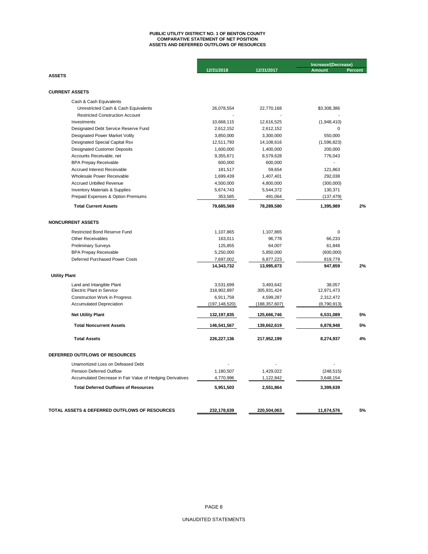## **ASSETS AND DEFERRED OUTFLOWS OF RESOURCES PUBLIC UTILITY DISTRICT NO. 1 OF BENTON COUNTY COMPARATIVE STATEMENT OF NET POSITION**

|                                                           |                 |                 | Increase/(Decrease) |                |  |
|-----------------------------------------------------------|-----------------|-----------------|---------------------|----------------|--|
|                                                           | 12/31/2018      | 12/31/2017      | <b>Amount</b>       | <b>Percent</b> |  |
| <b>ASSETS</b>                                             |                 |                 |                     |                |  |
|                                                           |                 |                 |                     |                |  |
| <b>CURRENT ASSETS</b>                                     |                 |                 |                     |                |  |
| Cash & Cash Equivalents                                   |                 |                 |                     |                |  |
| Unrestricted Cash & Cash Equivalents                      | 26,078,554      | 22,770,168      | \$3,308,386         |                |  |
| <b>Restricted Construction Account</b>                    |                 |                 |                     |                |  |
| Investments                                               | 10,668,115      | 12,616,525      | (1,948,410)         |                |  |
| Designated Debt Service Reserve Fund                      | 2,612,152       | 2,612,152       | $\Omega$            |                |  |
| Designated Power Market Voltly                            | 3,850,000       | 3,300,000       | 550,000             |                |  |
| Designated Special Capital Rsv                            | 12,511,793      | 14,108,616      | (1,596,823)         |                |  |
| <b>Designated Customer Deposits</b>                       | 1,600,000       | 1,400,000       | 200,000             |                |  |
| Accounts Receivable, net                                  | 9,355,671       | 8,579,628       | 776,043             |                |  |
| <b>BPA Prepay Receivable</b>                              | 600,000         | 600,000         |                     |                |  |
| <b>Accrued Interest Receivable</b>                        | 181,517         | 59,654          | 121,863             |                |  |
| Wholesale Power Receivable                                | 1,699,439       | 1,407,401       | 292,038             |                |  |
| Accrued Unbilled Revenue                                  | 4,500,000       | 4,800,000       | (300,000)           |                |  |
| <b>Inventory Materials &amp; Supplies</b>                 | 5,674,743       | 5,544,372       | 130,371             |                |  |
| Prepaid Expenses & Option Premiums                        | 353,585         | 491,064         | (137, 479)          |                |  |
| <b>Total Current Assets</b>                               | 79,685,569      | 78,289,580      | 1,395,989           | 2%             |  |
| <b>NONCURRENT ASSETS</b>                                  |                 |                 |                     |                |  |
|                                                           |                 |                 |                     |                |  |
| <b>Restricted Bond Reserve Fund</b>                       | 1,107,865       | 1,107,865       | 0                   |                |  |
| <b>Other Receivables</b>                                  | 163,011         | 96,778          | 66,233              |                |  |
| <b>Preliminary Surveys</b>                                | 125,855         | 64,007          | 61,848              |                |  |
| <b>BPA Prepay Receivable</b>                              | 5,250,000       | 5,850,000       | (600,000)           |                |  |
| Deferred Purchased Power Costs                            | 7,697,002       | 6,877,223       | 819,779             |                |  |
|                                                           | 14,343,732      | 13,995,873      | 947,859             | 2%             |  |
| <b>Utility Plant</b>                                      |                 |                 |                     |                |  |
| Land and Intangible Plant                                 | 3,531,699       | 3,493,642       | 38,057              |                |  |
| <b>Electric Plant in Service</b>                          | 318,902,897     | 305,931,424     | 12,971,473          |                |  |
| <b>Construction Work in Progress</b>                      | 6,911,759       | 4,599,287       | 2,312,472           |                |  |
| <b>Accumulated Depreciation</b>                           | (197, 148, 520) | (188, 357, 607) | (8,790,913)         |                |  |
| <b>Net Utility Plant</b>                                  | 132,197,835     | 125,666,746     | 6,531,089           | 5%             |  |
| <b>Total Noncurrent Assets</b>                            | 146,541,567     | 139,662,619     | 6,878,948           | 5%             |  |
| <b>Total Assets</b>                                       | 226,227,136     | 217,952,199     | 8,274,937           | 4%             |  |
| DEFERRED OUTFLOWS OF RESOURCES                            |                 |                 |                     |                |  |
|                                                           |                 |                 |                     |                |  |
| Unamortized Loss on Defeased Debt                         |                 |                 |                     |                |  |
| Pension Deferred Outflow                                  | 1,180,507       | 1,429,022       | (248, 515)          |                |  |
| Accumulated Decrease in Fair Value of Hedging Derivatives | 4,770,996       | 1,122,842       | 3,648,154           |                |  |
| <b>Total Deferred Outflows of Resources</b>               | 5,951,503       | 2,551,864       | 3,399,639           |                |  |
|                                                           |                 |                 |                     |                |  |
| TOTAL ASSETS & DEFERRED OUTFLOWS OF RESOURCES             | 232,178,639     | 220,504,063     | 11,674,576          | 5%             |  |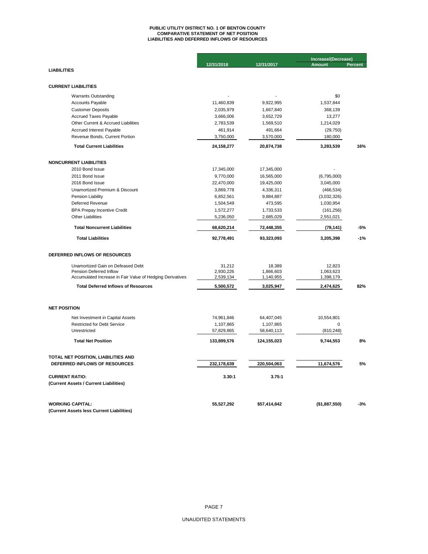# **PUBLIC UTILITY DISTRICT NO. 1 OF BENTON COUNTY COMPARATIVE STATEMENT OF NET POSITION LIABILITIES AND DEFERRED INFLOWS OF RESOURCES**

|                                                           |              |              | Increase/(Decrease) |         |  |
|-----------------------------------------------------------|--------------|--------------|---------------------|---------|--|
|                                                           | 12/31/2018   | 12/31/2017   | <b>Amount</b>       | Percent |  |
| <b>LIABILITIES</b>                                        |              |              |                     |         |  |
|                                                           |              |              |                     |         |  |
| <b>CURRENT LIABILITIES</b>                                |              |              |                     |         |  |
| <b>Warrants Outstanding</b>                               |              |              | \$0                 |         |  |
| <b>Accounts Payable</b>                                   | 11,460,839   | 9,922,995    | 1,537,844           |         |  |
| <b>Customer Deposits</b>                                  | 2,035,979    | 1,667,840    | 368,139             |         |  |
| <b>Accrued Taxes Payable</b>                              | 3,666,006    | 3,652,729    | 13,277              |         |  |
| Other Current & Accrued Liabilities                       | 2,783,539    | 1,569,510    | 1,214,029           |         |  |
| Accrued Interest Payable                                  | 461,914      | 491,664      | (29, 750)           |         |  |
| Revenue Bonds, Current Portion                            | 3,750,000    | 3,570,000    | 180,000             |         |  |
| <b>Total Current Liabilities</b>                          | 24, 158, 277 | 20,874,738   | 3,283,539           | 16%     |  |
| <b>NONCURRENT LIABILITIES</b>                             |              |              |                     |         |  |
| 2010 Bond Issue                                           | 17,345,000   | 17,345,000   |                     |         |  |
| 2011 Bond Issue                                           | 9,770,000    | 16,565,000   | (6,795,000)         |         |  |
| 2016 Bond Issue                                           | 22,470,000   | 19,425,000   | 3,045,000           |         |  |
| Unamortized Premium & Discount                            | 3,869,778    | 4,336,311    | (466, 534)          |         |  |
| Pension Liability                                         | 6,852,561    | 9,884,887    | (3,032,326)         |         |  |
| Deferred Revenue                                          | 1,504,549    | 473,595      | 1,030,954           |         |  |
| <b>BPA Prepay Incentive Credit</b>                        | 1,572,277    | 1,733,533    | (161, 256)          |         |  |
| <b>Other Liabilities</b>                                  | 5,236,050    | 2,685,029    | 2,551,021           |         |  |
| <b>Total Noncurrent Liabilities</b>                       | 68,620,214   | 72,448,355   | (78, 141)           | -5%     |  |
| <b>Total Liabilities</b>                                  | 92,778,491   | 93,323,093   | 3,205,398           | $-1%$   |  |
| DEFERRED INFLOWS OF RESOURCES                             |              |              |                     |         |  |
| Unamortized Gain on Defeased Debt                         | 31,212       | 18,389       | 12,823              |         |  |
| Pension Deferred Inflow                                   | 2,930,226    | 1,866,603    | 1,063,623           |         |  |
| Accumulated Increase in Fair Value of Hedging Derivatives | 2,539,134    | 1,140,955    | 1,398,179           |         |  |
| <b>Total Deferred Inflows of Resources</b>                | 5,500,572    | 3,025,947    | 2,474,625           | 82%     |  |
|                                                           |              |              |                     |         |  |
| <b>NET POSITION</b><br>Net Investment in Capital Assets   | 74,961,846   | 64,407,045   | 10,554,801          |         |  |
| <b>Restricted for Debt Service</b>                        | 1,107,865    | 1,107,865    | $\Omega$            |         |  |
| Unrestricted                                              | 57,829,865   | 58,640,113   | (810, 248)          |         |  |
| <b>Total Net Position</b>                                 | 133,899,576  | 124,155,023  | 9,744,553           | 8%      |  |
|                                                           |              |              |                     |         |  |
| TOTAL NET POSITION, LIABILITIES AND                       |              |              |                     |         |  |
| DEFERRED INFLOWS OF RESOURCES                             | 232,178,639  | 220,504,063  | 11,674,576          | 5%      |  |
| <b>CURRENT RATIO:</b>                                     | 3.30:1       | 3.75:1       |                     |         |  |
| (Current Assets / Current Liabilities)                    |              |              |                     |         |  |
| <b>WORKING CAPITAL:</b>                                   | 55,527,292   | \$57,414,842 | (\$1,887,550)       | $-3%$   |  |
| (Current Assets less Current Liabilities)                 |              |              |                     |         |  |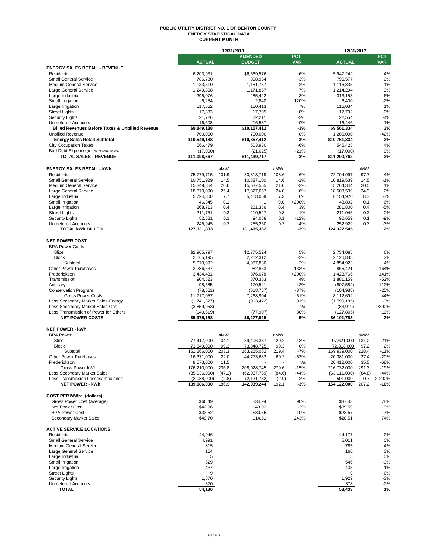#### **PUBLIC UTILITY DISTRICT NO. 1 OF BENTON COUNTY ENERGY STATISTICAL DATA CURRENT MONTH**

|                                                            |                             | 12/31/2018      |                               |                 |                  | 12/31/2017                    |                 |                  |
|------------------------------------------------------------|-----------------------------|-----------------|-------------------------------|-----------------|------------------|-------------------------------|-----------------|------------------|
|                                                            |                             |                 | <b>AMENDED</b>                |                 | <b>PCT</b>       |                               |                 | <b>PCT</b>       |
| <b>ENERGY SALES RETAIL - REVENUE</b>                       | <b>ACTUAL</b>               |                 | <b>BUDGET</b>                 |                 | <b>VAR</b>       | <b>ACTUAL</b>                 |                 | <b>VAR</b>       |
| Residential                                                | 6,203,931                   |                 | \$6,569,576                   |                 | $-6%$            | 5.947.249                     |                 | 4%               |
| <b>Small General Service</b>                               | 786,780                     |                 | 808,954                       |                 | $-3%$            | 790,577                       |                 | 0%               |
| <b>Medium General Service</b>                              | 1,133,510                   |                 | 1,151,757                     |                 | $-2%$            | 1,116,835                     |                 | 1%               |
| Large General Service                                      | 1,249,808                   |                 | 1,171,857                     |                 | 7%               | 1,214,294                     |                 | 3%               |
| Large Industrial                                           | 295,076                     |                 | 285,422                       |                 | 3%               | 313,153                       |                 | $-6%$            |
| Small Irrigation                                           | 6,254                       |                 | 2,840                         |                 | 120%<br>7%       | 6,400                         |                 | $-2%$<br>1%      |
| Large Irrigation<br><b>Street Lights</b>                   | 117,662<br>17,833           |                 | 110,413<br>17,795             |                 | 0%               | 116,034<br>17,792             |                 | 0%               |
| <b>Security Lights</b>                                     | 21,726                      |                 | 22,211                        |                 | $-2%$            | 22,554                        |                 | $-4%$            |
| <b>Unmetered Accounts</b>                                  | 16,608                      |                 | 16,587                        |                 | 0%               | 16,446                        |                 | 1%               |
| <b>Billed Revenues Before Taxes &amp; Unbilled Revenue</b> | \$9,849,188                 |                 | \$10,157,412                  |                 | $-3%$            | \$9,561,334                   |                 | 3%               |
| <b>Unbilled Revenue</b>                                    | 700,000                     |                 | 700,000                       |                 | 0%               | 1,200,000                     |                 | $-42%$           |
| <b>Energy Sales Retail Subtotal</b>                        | \$10,549,188                |                 | \$10,857,412                  |                 | $-3%$            | \$10,761,334                  |                 | $-2%$            |
| <b>City Occupation Taxes</b>                               | 566,479                     |                 | 603,930                       |                 | $-6%$            | 546,428                       |                 | 4%               |
| Bad Debt Expense (0.16% of retail sales)                   | (17,000)                    |                 | (21, 625)                     |                 | $-21%$           | (17,000)                      |                 | 0%               |
| <b>TOTAL SALES - REVENUE</b>                               | \$11,098,667                |                 | \$11,439,717                  |                 | $-3%$            | \$11,290,762                  |                 | $-2%$            |
| <b>ENERGY SALES RETAIL - kWh</b>                           |                             | aMW             |                               | aMW             |                  |                               | aMW             |                  |
| Residential                                                | 75,779,715                  | 101.9           | 80,813,719                    | 108.6           | $-6%$            | 72,704,997                    | 97.7            | 4%               |
| <b>Small General Service</b>                               | 10,751,929                  | 14.5            | 10,887,100                    | 14.6            | $-1%$            | 10,819,539                    | 14.5            | $-1%$            |
| Medium General Service                                     | 15,349,864                  | 20.6            | 15,637,555                    | 21.0            | $-2%$            | 15,264,344                    | 20.5            | 1%               |
| Large General Service                                      | 18.870.090                  | 25.4            | 17,827,667                    | 24.0            | 6%               | 18.503.509                    | 24.9            | 2%               |
| Large Industrial                                           | 5,724,800                   | 7.7             | 5,418,069                     | 7.3             | 6%               | 6,154,920                     | 8.3             | $-7%$            |
| Small Irrigation                                           | 46,345                      | 0.1             | 1                             | 0.0             | >200%            | 43,802                        | 0.1             | 6%               |
| Large Irrigation                                           | 268,713                     | 0.4             | 261,386                       | 0.4             | 3%               | 281,800                       | 0.4             | $-5%$            |
| <b>Street Lights</b>                                       | 211,751                     | 0.3             | 210,527                       | 0.3             | 1%               | 211,046                       | 0.3             | 0%               |
| <b>Security Lights</b>                                     | 82,681                      | 0.1             | 94,088                        | 0.1             | $-12%$           | 90,659                        | 0.1             | $-9%$            |
| <b>Unmetered Accounts</b><br><b>TOTAL kWh BILLED</b>       | 245,945<br>127,331,833      | 0.3             | 255,250<br>131,405,362        | 0.3             | $-4%$<br>$-3%$   | 252,929<br>124,327,545        | 0.3             | $-3%$<br>2%      |
|                                                            |                             |                 |                               |                 |                  |                               |                 |                  |
| <b>NET POWER COST</b>                                      |                             |                 |                               |                 |                  |                               |                 |                  |
| <b>BPA Power Costs</b>                                     |                             |                 |                               |                 |                  |                               |                 |                  |
| Slice                                                      | \$2,905,797                 |                 | \$2,775,524                   |                 | 5%               | 2,734,085                     |                 | 6%               |
| <b>Block</b>                                               | 2,165,195                   |                 | 2,212,312                     |                 | $-2%$            | 2,120,838                     |                 | 2%               |
| Subtotal                                                   | 5,070,992                   |                 | 4,987,836                     |                 | 2%               | 4,854,923                     |                 | 4%               |
| Other Power Purchases<br>Frederickson                      | 2,286,637<br>3,434,481      |                 | 982,853<br>876,078            |                 | 133%<br>>200%    | 865,421<br>1,423,766          |                 | 164%<br>141%     |
| Transmission                                               | 904,823                     |                 | 870,353                       |                 | 4%               | 1,881,159                     |                 | $-52%$           |
| Ancillary                                                  | 98,685                      |                 | 170,541                       |                 | $-42%$           | (807, 589)                    |                 | $-112%$          |
| <b>Conservation Program</b>                                | (78, 561)                   |                 | (618, 757)                    |                 | $-87%$           | (104, 988)                    |                 | $-25%$           |
| <b>Gross Power Costs</b>                                   | 11,717,057                  |                 | 7,268,904                     |                 | 61%              | 8,112,692                     |                 | 44%              |
| Less Secondary Market Sales-Energy                         | (1,741,327)                 |                 | (913, 472)                    |                 | 91%              | (1,799,185)                   |                 | $-3%$            |
| Less Secondary Market Sales-Gas                            | (3,859,953)                 |                 |                               |                 | n/a              | (83,919)                      |                 | >200%            |
| Less Transmission of Power for Others                      | (140, 619)                  |                 | (77, 907)                     |                 | 80%              | (127, 805)                    |                 | 10%              |
| <b>NET POWER COSTS</b>                                     | $\overline{5,}975,158$      |                 | \$6,277,525                   |                 | -5%              | \$6,101,783                   |                 | $-2%$            |
| <b>NET POWER - kWh</b>                                     |                             |                 |                               |                 |                  |                               |                 |                  |
| <b>BPA Power</b>                                           |                             | aMW             |                               | aMW             |                  |                               | aMW             |                  |
| Slice                                                      | 77,417,000                  | 104.1           | 89,406,337                    | 120.2           | $-13%$           | 97,621,000                    | 131.2           | $-21%$           |
| <b>Block</b>                                               | 73,849,000                  | 99.3            | 73,848,725                    | 99.3            | 0%               | 72,318,000                    | 97.2            | 2%               |
| Subtotal                                                   | 151,266,000                 | 203.3           | 163,255,062                   | 219.4           | $-7%$            | 169,939,000                   | 228.4           | $-11%$           |
| Other Power Purchases                                      | 16,371,000                  | 22.0            | 44,773,683                    | 60.2            | $-63%$           | 20,381,000                    | 27.4            | $-20%$           |
| Frederickson                                               | 8,573,000                   | 11.5            |                               |                 | n/a              | 26,412,000                    | 35.5            | -68%             |
| Gross Power kWh<br>Less Secondary Market Sales             | 176,210,000<br>(35,036,000) | 236.8<br>(47.1) | 208,028,745<br>(62, 967, 769) | 279.6           | $-15%$<br>$-44%$ | 216,732,000<br>(63, 111, 000) | 291.3<br>(84.8) | $-19%$<br>$-44%$ |
| Less Transmission Losses/Imbalance                         | (2,088,000)                 | (2.8)           | (2, 121, 732)                 | (84.6)<br>(2.9) | $-2%$            | 501,000                       | 0.7             | $> -200%$        |
| <b>NET POWER - kWh</b>                                     | 139,086,000                 | 186.9           | 142,939,244                   | 192.1           | $-3%$            | 154,122,000                   | 207.2           | $-10%$           |
|                                                            |                             |                 |                               |                 |                  |                               |                 |                  |
| <b>COST PER MWh: (dollars)</b>                             |                             |                 |                               |                 |                  |                               |                 |                  |
| Gross Power Cost (average)                                 | \$66.49                     |                 | \$34.94                       |                 | 90%              | \$37.43                       |                 | 78%              |
| Net Power Cost                                             | \$42.96                     |                 | \$43.92                       |                 | $-2%$            | \$39.59                       |                 | 9%               |
| <b>BPA Power Cost</b><br>Secondary Market Sales            | \$33.52<br>\$49.70          |                 | \$30.55<br>\$14.51            |                 | 10%<br>243%      | \$28.57<br>\$28.51            |                 | 17%<br>74%       |
|                                                            |                             |                 |                               |                 |                  |                               |                 |                  |
| <b>ACTIVE SERVICE LOCATIONS:</b>                           |                             |                 |                               |                 |                  |                               |                 |                  |
| Residential                                                | 44,946                      |                 |                               |                 |                  | 44,177                        |                 | 2%               |
| <b>Small General Service</b>                               | 4,991                       |                 |                               |                 |                  | 5,011                         |                 | 0%               |
| <b>Medium General Service</b>                              | 815                         |                 |                               |                 |                  | 785                           |                 | 4%               |
| Large General Service                                      | 164                         |                 |                               |                 |                  | 160                           |                 | 3%               |
| Large Industrial                                           | 5                           |                 |                               |                 |                  | 5                             |                 | 0%               |
| Small Irrigation<br>Large Irrigation                       | 529<br>437                  |                 |                               |                 |                  | 546<br>433                    |                 | $-3%$<br>1%      |
| <b>Street Lights</b>                                       | 9                           |                 |                               |                 |                  | 9                             |                 | 0%               |
| <b>Security Lights</b>                                     | 1,870                       |                 |                               |                 |                  | 1,929                         |                 | $-3%$            |
| <b>Unmetered Accounts</b>                                  | 370                         |                 |                               |                 |                  | 378                           |                 | $-2%$            |
| <b>TOTAL</b>                                               | 54,136                      |                 |                               |                 |                  | 53,433                        |                 | 1%               |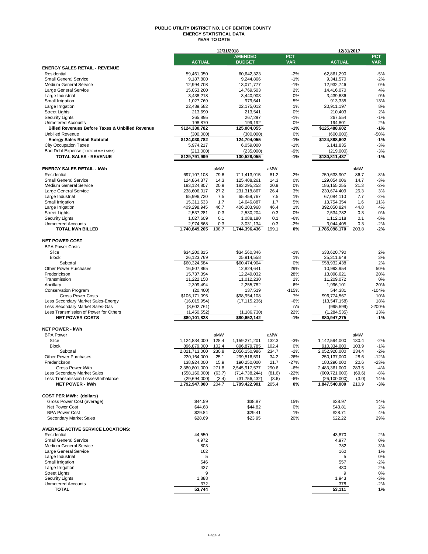#### **PUBLIC UTILITY DISTRICT NO. 1 OF BENTON COUNTY ENERGY STATISTICAL DATA YEAR TO DATE**

|                                                            |                           | 12/31/2018 |                           |        |            | 12/31/2017                |        |            |
|------------------------------------------------------------|---------------------------|------------|---------------------------|--------|------------|---------------------------|--------|------------|
|                                                            |                           |            | <b>AMENDED</b>            |        | <b>PCT</b> |                           |        | <b>PCT</b> |
|                                                            | <b>ACTUAL</b>             |            | <b>BUDGET</b>             |        | <b>VAR</b> | <b>ACTUAL</b>             |        | <b>VAR</b> |
| <b>ENERGY SALES RETAIL - REVENUE</b>                       |                           |            |                           |        |            |                           |        |            |
| Residential                                                | 59,461,050                |            | 60,642,323                |        | $-2%$      | 62,861,290                |        | $-5%$      |
| <b>Small General Service</b>                               | 9,187,800                 |            | 9,244,866                 |        | $-1%$      | 9,341,570                 |        | $-2%$      |
| <b>Medium General Service</b>                              | 12,994,708                |            | 13,071,777                |        | $-1%$      | 12,932,746                |        | 0%         |
| Large General Service                                      | 15,053,200                |            | 14,769,503                |        | 2%         | 14,416,070                |        | 4%         |
| Large Industrial                                           | 3,438,218                 |            | 3,440,903                 |        | 0%         | 3,439,636                 |        | 0%         |
| Small Irrigation                                           | 1,027,769                 |            | 979,641                   |        | 5%         | 913.335                   |        | 13%        |
| Large Irrigation                                           | 22,489,582                |            | 22,175,012                |        | 1%         | 20,911,197                |        | 8%         |
| <b>Street Lights</b>                                       | 213,690                   |            | 213,541                   |        | 0%         | 210,403                   |        | 2%         |
| <b>Security Lights</b>                                     | 265,895                   |            | 267,297                   |        | $-1%$      | 267,554                   |        | $-1%$      |
| <b>Unmetered Accounts</b>                                  | 198,870                   |            | 199,192                   |        | 0%         | 194,801                   |        | 2%         |
| <b>Billed Revenues Before Taxes &amp; Unbilled Revenue</b> | \$124,330,782             |            | 125,004,055               |        | $-1%$      | \$125,488,602             |        | $-1%$      |
| <b>Unbilled Revenue</b>                                    | (300,000)                 |            | (300,000)                 |        | 0%         | (600,000)                 |        | $-50%$     |
| <b>Energy Sales Retail Subtotal</b>                        | \$124,030,782             |            | 124,704,055               |        | $-1%$      | \$124,888,602             |        | $-1%$      |
| <b>City Occupation Taxes</b>                               |                           |            |                           |        | $-1%$      |                           |        | $-3%$      |
|                                                            | 5,974,217                 |            | 6,059,000                 |        |            | 6,141,835                 |        |            |
| Bad Debt Expense (0.16% of retail sales)                   | (213,000)                 |            | (235,000)                 |        | $-9%$      | (219,000)                 |        | $-3%$      |
| <b>TOTAL SALES - REVENUE</b>                               | \$129,791,999             |            | 130,528,055               |        | $-1%$      | \$130,811,437             |        | $-1%$      |
|                                                            |                           |            |                           |        |            |                           |        |            |
| <b>ENERGY SALES RETAIL - kWh</b>                           |                           | aMW        |                           | aMW    |            |                           | aMW    |            |
| Residential                                                | 697,107,108               | 79.6       | 711,413,915               | 81.2   | $-2%$      | 759,633,907               | 86.7   | $-8%$      |
| <b>Small General Service</b>                               | 124,864,377               | 14.3       | 125,408,261               | 14.3   | 0%         | 129,054,006               | 14.7   | $-3%$      |
| <b>Medium General Service</b>                              | 183,124,807               | 20.9       | 183,295,253               | 20.9   | 0%         | 186, 155, 255             | 21.3   | $-2%$      |
| Large General Service                                      | 238,606,017               | 27.2       | 231,318,867               | 26.4   | 3%         | 230,674,409               | 26.3   | 3%         |
| Large Industrial                                           | 65,996,720                | 7.5        | 65,459,767                | 7.5    | 1%         | 67,084,110                | 7.7    | $-2%$      |
| Small Irrigation                                           |                           | 1.7        |                           | 1.7    | 5%         |                           | 1.6    | 11%        |
| Large Irrigation                                           | 15,311,533<br>409,298,945 | 46.7       | 14,646,887<br>406,203,968 | 46.4   | 1%         | 13,754,354<br>392,050,824 | 44.8   | 4%         |
|                                                            |                           |            |                           |        |            |                           |        |            |
| <b>Street Lights</b>                                       | 2,537,281                 | 0.3        | 2,530,204                 | 0.3    | 0%         | 2,534,782                 | 0.3    | 0%         |
| <b>Security Lights</b>                                     | 1,027,609                 | 0.1        | 1,088,180                 | 0.1    | $-6%$      | 1,112,118                 | 0.1    | $-8%$      |
| <b>Unmetered Accounts</b>                                  | 2,974,868                 | 0.3        | 3,031,134                 | 0.3    | $-2%$      | 3,044,405                 | 0.3    | $-2%$      |
| <b>TOTAL kWh BILLED</b>                                    | 1,740,849,265             | 198.7      | 1,744,396,436             | 199.1  | 0%         | 1,785,098,170             | 203.8  | $-2%$      |
|                                                            |                           |            |                           |        |            |                           |        |            |
| <b>NET POWER COST</b>                                      |                           |            |                           |        |            |                           |        |            |
| <b>BPA Power Costs</b>                                     |                           |            |                           |        |            |                           |        |            |
| Slice                                                      | \$34,200,815              |            | \$34,560,346              |        | $-1%$      | \$33,620,790              |        | 2%         |
| <b>Block</b>                                               | 26,123,769                |            | 25,914,558                |        | 1%         | 25,311,648                |        | 3%         |
| Subtotal                                                   | \$60,324,584              |            | \$60,474,904              |        | 0%         | \$58,932,438              |        | 2%         |
| <b>Other Power Purchases</b>                               | 16,507,865                |            | 12,824,641                |        | 29%        | 10,993,954                |        | 50%        |
| Frederickson                                               | 15,737,394                |            | 12,249,032                |        | 28%        | 13,098,621                |        | 20%        |
| Transmission                                               | 11,222,158                |            | 11,012,230                |        | 2%         | 11,209,072                |        | 0%         |
| Ancillary                                                  | 2,399,494                 |            | 2,255,782                 |        | 6%         | 1,996,101                 |        | 20%        |
| <b>Conservation Program</b>                                | (20, 400)                 |            | 137,519                   |        | $-115%$    | 544,381                   |        | $-104%$    |
|                                                            |                           |            |                           |        | 7%         |                           |        |            |
| <b>Gross Power Costs</b>                                   | \$106,171,095             |            | \$98,954,108              |        |            | \$96,774,567              |        | 10%        |
| Less Secondary Market Sales-Energy                         | (16, 015, 954)            |            | (17, 115, 236)            |        | $-6%$      | (13, 547, 158)            |        | 18%        |
| Less Secondary Market Sales-Gas                            | (8,602,761)               |            |                           |        | n/a        | (995, 599)                |        | >200%      |
| Less Transmission of Power for Others                      | (1,450,552)               |            | (1, 186, 730)             |        | 22%        | (1, 284, 535)             |        | 13%        |
| <b>NET POWER COSTS</b>                                     | \$80,101,828              |            | \$80,652,142              |        | -1%        | \$80,947,275              |        | $-1%$      |
|                                                            |                           |            |                           |        |            |                           |        |            |
| <b>NET POWER - kWh</b>                                     |                           |            |                           |        |            |                           |        |            |
| <b>BPA Power</b>                                           |                           | aMW        |                           | aMW    |            |                           | aMW    |            |
| Slice                                                      | 1,124,834,000             | 128.4      | 1,159,271,201             | 132.3  | $-3%$      | 1,142,594,000             | 130.4  | $-2%$      |
| <b>Block</b>                                               | 896,879,000               | 102.4      | 896,879,785               | 102.4  | 0%         | 910,334,000               | 103.9  | $-1%$      |
| Subtotal                                                   | 2,021,713,000             | 230.8      | 2,056,150,986             | 234.7  | $-2%$      | 2,052,928,000             | 234.4  | $-2%$      |
| Other Power Purchases                                      | 220,164,000               | 25.1       | 299,516,591               | 34.2   | $-26%$     | 250,137,000               | 28.6   | $-12%$     |
| Frederickson                                               | 138.924.000               | 15.9       | 190.250.000               | 21.7   | $-27%$     | 180.296.000               | 20.6   | $-23%$     |
| Gross Power kWh                                            | 2,380,801,000             | 271.8      | 2,545,917,577             | 290.6  | $-6%$      | 2,483,361,000             | 283.5  | $-4%$      |
| Less Secondary Market Sales                                | (558, 160, 000)           | (63.7)     | (714, 738, 244)           | (81.6) | $-22%$     | (609, 721, 000)           | (69.6) | $-8%$      |
| Less Transmission Losses/Imbalance                         | (29, 694, 000)            | (3.4)      | (31, 756, 432)            | (3.6)  | -6%        | (26, 100, 000)            | (3.0)  | 14%        |
| <b>NET POWER - kWh</b>                                     | 1,792,947,000             | 204.7      | 1,799,422,901             | 205.4  | 0%         | 1,847,540,000             | 210.9  | -3%        |
|                                                            |                           |            |                           |        |            |                           |        |            |
|                                                            |                           |            |                           |        |            |                           |        |            |
| <b>COST PER MWh: (dollars)</b>                             |                           |            |                           |        |            |                           |        |            |
| Gross Power Cost (average)                                 | \$44.59                   |            | \$38.87                   |        | 15%        | \$38.97                   |        | 14%        |
| Net Power Cost                                             | \$44.68                   |            | \$44.82                   |        | 0%         | \$43.81                   |        | 2%         |
| <b>BPA Power Cost</b>                                      | \$29.84                   |            | \$29.41                   |        | 1%         | \$28.71                   |        | 4%         |
| Secondary Market Sales                                     | \$28.69                   |            | \$23.95                   |        | 20%        | \$22.22                   |        | 29%        |
|                                                            |                           |            |                           |        |            |                           |        |            |
| <b>AVERAGE ACTIVE SERVICE LOCATIONS:</b>                   |                           |            |                           |        |            |                           |        |            |
| Residential                                                | 44,550                    |            |                           |        |            | 43,870                    |        | 2%         |
| <b>Small General Service</b>                               | 4,972                     |            |                           |        |            | 4,977                     |        | 0%         |
| <b>Medium General Service</b>                              | 803                       |            |                           |        |            | 782                       |        | 3%         |
| Large General Service                                      | 162                       |            |                           |        |            | 160                       |        | 1%         |
| Large Industrial                                           | 5                         |            |                           |        |            | 5                         |        | 0%         |
|                                                            |                           |            |                           |        |            |                           |        |            |
| Small Irrigation                                           | 546                       |            |                           |        |            | 557                       |        | $-2%$      |
| Large Irrigation                                           | 437                       |            |                           |        |            | 430                       |        | 2%         |
| <b>Street Lights</b>                                       | 9                         |            |                           |        |            | 9                         |        | 0%         |
| <b>Security Lights</b>                                     | 1,888                     |            |                           |        |            | 1,943                     |        | $-3%$      |
| <b>Unmetered Accounts</b>                                  | 372                       |            |                           |        |            | 378                       |        | $-2%$      |
| <b>TOTAL</b>                                               | 53,744                    |            |                           |        |            | 53,111                    |        | 1%         |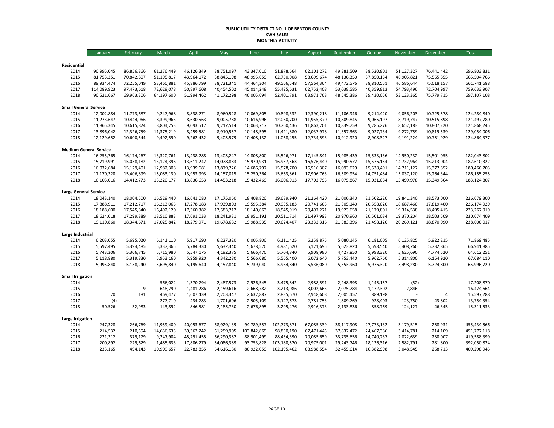#### **PUBLIC UTILITY DISTRICT NO. 1 OF BENTON COUNTY KWH SALES MONTHLY ACTIVITY**

|                               | January                  | February                 | March                    | April                    | May                      | June                     | July                     | August                   | September                | October                  | November                 | December                 | Total                      |
|-------------------------------|--------------------------|--------------------------|--------------------------|--------------------------|--------------------------|--------------------------|--------------------------|--------------------------|--------------------------|--------------------------|--------------------------|--------------------------|----------------------------|
|                               |                          |                          |                          |                          |                          |                          |                          |                          |                          |                          |                          |                          |                            |
| Residential                   |                          |                          |                          |                          |                          |                          |                          |                          |                          |                          |                          |                          |                            |
| 2014<br>2015                  | 90,995,045<br>81,753,251 | 86,856,866<br>70,842,807 | 61,276,449<br>51,195,817 | 46,126,349<br>43,964,172 | 38,751,097<br>38,845,198 | 43,347,010<br>48,995,659 | 51,878,664<br>62,750,008 | 62,101,272<br>58,699,674 | 49,381,509<br>48,136,350 | 38,520,801<br>37,850,154 | 51,127,327<br>46,905,821 | 76,441,442<br>75,565,855 | 696,803,831<br>665,504,766 |
| 2016                          | 89,934,474               | 72,255,049               | 53,460,881               | 45,886,799               | 38,721,341               | 44,464,304               | 49,566,548               | 57,564,364               | 49,472,576               | 38,810,551               | 46,586,644               | 75,018,157               | 661,741,688                |
| 2017                          | 114,089,923              | 97,473,618               | 72,629,078               | 50,897,608               | 40,454,502               | 45,014,248               | 55,425,631               | 62,752,408               | 53,038,585               | 40,359,813               | 54,793,496               | 72,704,997               | 759,633,907                |
| 2018                          | 90,521,667               | 69,963,306               | 64,197,600               | 51,994,462               | 41,172,298               | 46,005,694               | 52,401,791               | 63,971,768               | 48,545,386               | 39,430,056               | 53,123,365               | 75,779,715               | 697,107,108                |
|                               |                          |                          |                          |                          |                          |                          |                          |                          |                          |                          |                          |                          |                            |
| <b>Small General Service</b>  |                          |                          |                          |                          |                          |                          |                          |                          |                          |                          |                          |                          |                            |
| 2014                          | 12,002,884               | 11,773,687               | 9,247,968                | 8,838,271                | 8,960,528                | 10,069,805               | 10,898,332               | 12,390,218               | 11,106,946               | 9,214,420                | 9,056,203                | 10,725,578               | 124,284,840                |
| 2015                          | 11,273,647               | 10,444,066               | 8,399,963                | 8,630,563                | 9,005,788                | 10,616,996               | 12,060,700               | 11,955,370               | 10,809,845               | 9,065,197                | 8,719,747                | 10,515,898               | 121,497,780                |
| 2016                          | 11,865,345               | 10,615,824               | 8,804,253                | 9,093,517                | 9,217,514                | 10,063,717               | 10,760,436               | 11,863,201               | 10,839,759               | 9,285,276                | 8,652,183                | 10,807,220               | 121,868,245                |
| 2017                          | 13,896,042               | 12,326,759               | 11,375,219               | 8,459,581                | 8,910,557                | 10,148,595               | 11,421,880               | 12,037,978               | 11,357,363               | 9,027,734                | 9,272,759                | 10,819,539               | 129,054,006                |
| 2018                          | 12,129,652               | 10,600,544               | 9,492,590                | 9,262,432                | 9,403,579                | 10,408,132               | 11,068,455               | 12,734,593               | 10,912,920               | 8,908,327                | 9,191,224                | 10,751,929               | 124,864,377                |
| <b>Medium General Service</b> |                          |                          |                          |                          |                          |                          |                          |                          |                          |                          |                          |                          |                            |
| 2014                          | 16,255,765               | 16,174,267               | 13,320,761               | 13,438,288               | 13,403,247               | 14,808,800               | 15,526,971               | 17,145,841               | 15,985,439               | 15,533,136               | 14,950,232               | 15,501,055               | 182,043,802                |
| 2015                          | 15,719,991               | 15,058,182               | 13,124,396               | 13,611,242               | 14,078,883               | 15,970,931               | 16,957,563               | 16,576,440               | 15,990,572               | 15,576,154               | 14,732,964               | 15,213,004               | 182,610,322                |
| 2016                          | 16,032,684               | 15,129,401               | 12,982,308               | 13,939,681               | 13,879,726               | 14,686,797               | 15,578,700               | 16,516,307               | 16,093,629               | 15,538,491               | 14,711,127               | 15,377,852               | 180,466,703                |
| 2017                          | 17,170,328               | 15,406,899               | 15,083,130               | 13,953,993               | 14,157,015               | 15,250,364               | 15,663,861               | 17,906,763               | 16,509,954               | 14,751,484               | 15,037,120               | 15,264,344               | 186, 155, 255              |
| 2018                          | 16,103,016               | 14,412,773               | 13,220,177               | 13,836,653               | 14,453,218               | 15,432,469               | 16,006,913               | 17,702,795               | 16,075,867               | 15,031,084               | 15,499,978               | 15,349,864               | 183,124,807                |
| <b>Large General Service</b>  |                          |                          |                          |                          |                          |                          |                          |                          |                          |                          |                          |                          |                            |
| 2014                          | 18,043,140               | 18,004,500               | 16,529,440               | 16,641,080               | 17,175,060               | 18,408,820               | 19,689,940               | 21,264,420               | 21,006,340               | 21,502,220               | 19,841,340               | 18,573,000               | 226,679,300                |
| 2015                          | 17,888,911               | 17,212,717               | 16,213,065               | 17,278,183               | 17,939,803               | 19,595,384               | 20,935,183               | 20,741,663               | 21,305,140               | 20,558,020               | 18,687,460               | 17,819,400               | 226,174,929                |
| 2016                          | 18,188,600               | 17,545,840               | 16,492,120               | 17,360,382               | 17,583,712               | 18,140,663               | 18,545,919               | 20,497,271               | 19,923,658               | 21,179,801               | 19,314,538               | 18,495,415               | 223,267,919                |
| 2017                          | 18,624,018               | 17,299,889               | 18,510,883               | 17,691,033               | 18,241,931               | 18,951,191               | 20,511,714               | 21,497,993               | 20,970,960               | 20,501,084               | 19,370,204               | 18,503,509               | 230,674,409                |
| 2018                          | 19,110,860               | 18,344,671               | 17,025,842               | 18,279,971               | 19,678,682               | 19,988,535               | 20,624,407               | 23,332,316               | 21,583,396               | 21,498,126               | 20,269,121               | 18,870,090               | 238,606,017                |
| Large Industrial              |                          |                          |                          |                          |                          |                          |                          |                          |                          |                          |                          |                          |                            |
| 2014                          | 6,203,055                | 5,695,020                | 6,141,110                | 5,917,690                | 6,227,320                | 6,005,800                | 6,111,425                | 6,258,875                | 5,080,145                | 6,181,005                | 6,125,825                | 5,922,215                | 71,869,485                 |
| 2015                          | 5,597,495                | 5,394,485                | 5,337,365                | 5,784,330                | 5,632,340                | 5,678,570                | 4,981,620                | 6,171,695                | 5,623,820                | 5,598,540                | 5,408,760                | 5,732,865                | 66,941,885                 |
| 2016                          | 5,743,306                | 5,306,745                | 5,715,980                | 5,547,175                | 4,192,375                | 5,666,470                | 5,704,840                | 5,908,980                | 4,427,850                | 5,998,320                | 5,625,690                | 4,774,520                | 64,612,251                 |
| 2017                          | 5,118,880                | 5,319,830                | 5,953,160                | 5,959,920                | 4,342,280                | 5,566,080                | 5,565,400                | 6,072,640                | 5,753,440                | 5,962,760                | 5,314,800                | 6,154,920                | 67,084,110                 |
| 2018                          | 5,995,840                | 5,158,240                | 5,695,840                | 5,195,640                | 4,157,840                | 5,739,040                | 5,964,840                | 5,536,080                | 5,353,960                | 5,976,320                | 5,498,280                | 5,724,800                | 65,996,720                 |
| <b>Small Irrigation</b>       |                          |                          |                          |                          |                          |                          |                          |                          |                          |                          |                          |                          |                            |
| 2014                          |                          |                          | 566,022                  | 1,370,794                | 2,487,573                | 2,926,545                | 3,475,842                | 2,988,591                | 2,248,398                | 1,145,157                | (52)                     |                          | 17,208,870                 |
| 2015                          |                          | 9                        | 648,290                  | 1,481,286                | 2,159,616                | 2,668,782                | 3,213,086                | 3,002,663                | 2,075,784                | 1,172,302                | 2,846                    |                          | 16,424,664                 |
| 2016                          | 20                       | 181                      | 469,477                  | 1,607,439                | 2,203,347                | 2,637,887                | 2,835,670                | 2,948,608                | 2,005,457                | 889,198                  |                          | 4                        | 15,597,288                 |
| 2017                          | (4)                      |                          | 277,710                  | 434,783                  | 1,701,606                | 2,505,109                | 3,147,673                | 2,781,753                | 1,809,769                | 928,403                  | 123,750                  | 43,802                   | 13,754,354                 |
| 2018                          | 50,526                   | 32,983                   | 143,892                  | 846,581                  | 2,185,730                | 2,676,895                | 3,295,476                | 2,916,373                | 2,133,836                | 858,769                  | 124,127                  | 46,345                   | 15,311,533                 |
|                               |                          |                          |                          |                          |                          |                          |                          |                          |                          |                          |                          |                          |                            |
| <b>Large Irrigation</b>       |                          |                          |                          |                          |                          |                          |                          |                          |                          |                          |                          |                          |                            |
| 2014                          | 247,328                  | 266,769                  | 11,959,400               | 40,053,677               | 68,929,139               | 94,789,557               | 102,773,871              | 67,085,339               | 38,117,908               | 27,773,132               | 3,179,515                | 258,931                  | 455,434,566                |
| 2015                          | 214,532                  | 210,554                  | 14,636,633               | 39,362,242               | 61,259,905               | 103,842,869              | 98,850,190               | 67,471,445               | 37,832,472               | 24,467,386               | 3,414,781                | 214,109                  | 451,777,118                |
| 2016                          | 221,312                  | 379,179                  | 9,247,984                | 45,291,455               | 66,290,382               | 88,901,499               | 88,434,390               | 70,085,659               | 33,735,656               | 14,740,237               | 2,022,639                | 238,007                  | 419,588,399                |
| 2017                          | 200,892                  | 229,629                  | 1,485,633                | 17,886,279               | 54,086,389               | 93,753,828               | 103,188,520              | 70,975,001               | 29,243,746               | 18,136,316               | 2,582,791                | 281,800                  | 392,050,824                |
| 2018                          | 233,165                  | 494,143                  | 10,909,657               | 22,783,855               | 64,616,180               | 86,922,059               | 102,195,462              | 68,988,554               | 32,455,614               | 16,382,998               | 3,048,545                | 268,713                  | 409,298,945                |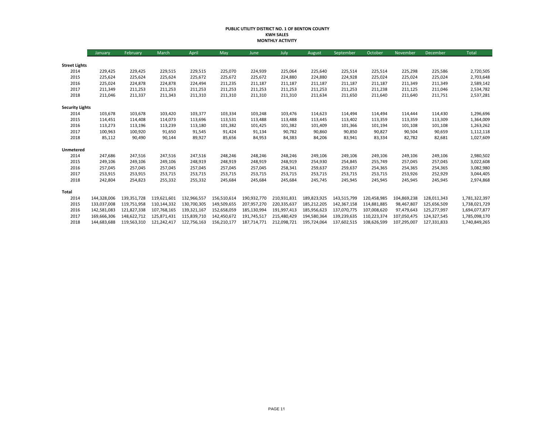#### **PUBLIC UTILITY DISTRICT NO. 1 OF BENTON COUNTY KWH SALES MONTHLY ACTIVITY**

|                        | January     | February    | March       | April       | May         | June        | July        | August      | September   | October     | November    | <b>December</b> | Total         |
|------------------------|-------------|-------------|-------------|-------------|-------------|-------------|-------------|-------------|-------------|-------------|-------------|-----------------|---------------|
|                        |             |             |             |             |             |             |             |             |             |             |             |                 |               |
| <b>Street Lights</b>   |             |             |             |             |             |             |             |             |             |             |             |                 |               |
| 2014                   | 229,425     | 229,425     | 229,515     | 229,515     | 225,070     | 224,939     | 225,064     | 225,640     | 225,514     | 225,514     | 225,298     | 225,586         | 2,720,505     |
| 2015                   | 225,624     | 225,624     | 225,624     | 225,672     | 225,672     | 225,672     | 224,880     | 224,880     | 224,928     | 225,024     | 225,024     | 225,024         | 2,703,648     |
| 2016                   | 225,024     | 224,878     | 224,878     | 224,494     | 211,235     | 211,187     | 211,187     | 211,187     | 211,187     | 211,187     | 211,349     | 211,349         | 2,589,142     |
| 2017                   | 211,349     | 211,253     | 211,253     | 211,253     | 211,253     | 211,253     | 211,253     | 211,253     | 211,253     | 211,238     | 211,125     | 211,046         | 2,534,782     |
| 2018                   | 211,046     | 211,337     | 211,343     | 211,310     | 211,310     | 211,310     | 211,310     | 211,634     | 211,650     | 211,640     | 211,640     | 211,751         | 2,537,281     |
| <b>Security Lights</b> |             |             |             |             |             |             |             |             |             |             |             |                 |               |
| 2014                   | 103,678     | 103,678     | 103,420     | 103,377     | 103,334     | 103,248     | 103,476     | 114,623     | 114,494     | 114,494     | 114,444     | 114,430         | 1,296,696     |
| 2015                   | 114,451     | 114,408     | 114,073     | 113,696     | 113,531     | 113,488     | 113,488     | 113,445     | 113,402     | 113,359     | 113,359     | 113,309         | 1,364,009     |
| 2016                   | 113,273     | 113,196     | 113,239     | 113,180     | 101,382     | 101,425     | 101,382     | 101,409     | 101,366     | 101,194     | 101,108     | 101,108         | 1,263,262     |
| 2017                   | 100,963     | 100,920     | 91,650      | 91,545      | 91,424      | 91,134      | 90,782      | 90,860      | 90,850      | 90,827      | 90,504      | 90,659          | 1,112,118     |
| 2018                   | 85,112      | 90,490      | 90,144      | 89,927      | 85,656      | 84,953      | 84,383      | 84,206      | 83,941      | 83,334      | 82,782      | 82,681          | 1,027,609     |
| Unmetered              |             |             |             |             |             |             |             |             |             |             |             |                 |               |
| 2014                   | 247,686     | 247,516     | 247,516     | 247,516     | 248,246     | 248,246     | 248,246     | 249,106     | 249,106     | 249,106     | 249,106     | 249,106         | 2,980,502     |
| 2015                   | 249,106     | 249,106     | 249,106     | 248,919     | 248,919     | 248,919     | 248,919     | 254,930     | 254,845     | 255,749     | 257,045     | 257,045         | 3,022,608     |
| 2016                   | 257,045     | 257,045     | 257,045     | 257,045     | 257,045     | 257,045     | 258,341     | 259,637     | 259,637     | 254,365     | 254,365     | 254,365         | 3,082,980     |
| 2017                   | 253,915     | 253,915     | 253,715     | 253,715     | 253,715     | 253,715     | 253,715     | 253,715     | 253,715     | 253,715     | 253,926     | 252,929         | 3,044,405     |
| 2018                   | 242,804     | 254,823     | 255,332     | 255,332     | 245,684     | 245,684     | 245,684     | 245,745     | 245,945     | 245,945     | 245,945     | 245,945         | 2,974,868     |
| Total                  |             |             |             |             |             |             |             |             |             |             |             |                 |               |
| 2014                   | 144,328,006 | 139,351,728 | 119,621,601 | 132,966,557 | 156,510,614 | 190,932,770 | 210,931,831 | 189,823,925 | 143,515,799 | 120,458,985 | 104,869,238 | 128,011,343     | 1,781,322,397 |
| 2015                   | 133,037,008 | 119,751,958 | 110,144,332 | 130,700,305 | 149,509,655 | 207,957,270 | 220,335,637 | 185,212,205 | 142,367,158 | 114,881,885 | 98,467,807  | 125,656,509     | 1,738,021,729 |
| 2016                   | 142,581,083 | 121,827,338 | 107,768,165 | 139,321,167 | 152,658,059 | 185,130,994 | 191,997,413 | 185,956,623 | 137,070,775 | 107,008,620 | 97,479,643  | 125,277,997     | 1,694,077,877 |
| 2017                   | 169,666,306 | 148,622,712 | 125,871,431 | 115,839,710 | 142,450,672 | 191,745,517 | 215,480,429 | 194,580,364 | 139,239,635 | 110,223,374 | 107,050,475 | 124,327,545     | 1,785,098,170 |
| 2018                   | 144,683,688 | 119,563,310 | 121,242,417 | 122,756,163 | 156,210,177 | 187,714,771 | 212,098,721 | 195,724,064 | 137,602,515 | 108,626,599 | 107,295,007 | 127,331,833     | 1,740,849,265 |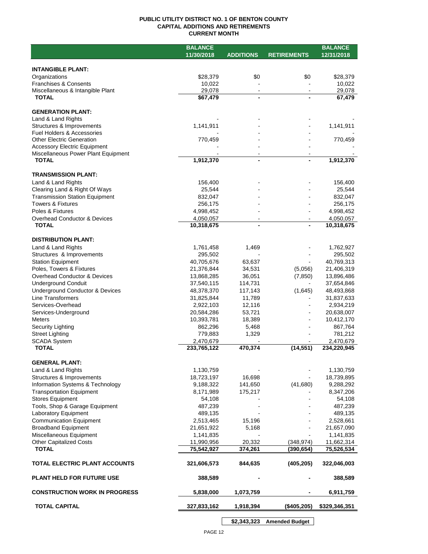#### **PUBLIC UTILITY DISTRICT NO. 1 OF BENTON COUNTY CAPITAL ADDITIONS AND RETIREMENTS CURRENT MONTH**

|                                                | <b>BALANCE</b>           |                   |                          | <b>BALANCE</b>           |
|------------------------------------------------|--------------------------|-------------------|--------------------------|--------------------------|
|                                                | 11/30/2018               | <b>ADDITIONS</b>  | <b>RETIREMENTS</b>       | 12/31/2018               |
|                                                |                          |                   |                          |                          |
| <b>INTANGIBLE PLANT:</b>                       |                          |                   |                          |                          |
| Organizations                                  | \$28,379                 | \$0               | \$0                      | \$28,379                 |
| <b>Franchises &amp; Consents</b>               | 10,022                   |                   |                          | 10,022                   |
| Miscellaneous & Intangible Plant               | 29,078                   | $\blacksquare$    | $\sim$                   | 29,078                   |
| <b>TOTAL</b>                                   | \$67,479                 |                   |                          | 67,479                   |
| <b>GENERATION PLANT:</b>                       |                          |                   |                          |                          |
| Land & Land Rights                             |                          |                   |                          |                          |
| Structures & Improvements                      | 1,141,911                |                   |                          | 1,141,911                |
| Fuel Holders & Accessories                     |                          |                   |                          |                          |
| <b>Other Electric Generation</b>               | 770,459                  |                   |                          | 770,459                  |
| <b>Accessory Electric Equipment</b>            |                          |                   |                          |                          |
| Miscellaneous Power Plant Equipment            |                          | $\sim$            |                          |                          |
| <b>TOTAL</b>                                   | 1,912,370                | $\blacksquare$    |                          | 1,912,370                |
|                                                |                          |                   |                          |                          |
| <b>TRANSMISSION PLANT:</b>                     |                          |                   |                          |                          |
| Land & Land Rights                             | 156,400                  |                   |                          | 156,400                  |
| Clearing Land & Right Of Ways                  | 25,544                   |                   |                          | 25,544                   |
| <b>Transmission Station Equipment</b>          | 832,047                  |                   |                          | 832,047                  |
| <b>Towers &amp; Fixtures</b>                   | 256,175                  |                   |                          | 256,175                  |
| Poles & Fixtures                               | 4,998,452                |                   |                          | 4,998,452                |
| Overhead Conductor & Devices                   | 4,050,057                | $\blacksquare$    |                          | 4,050,057                |
| <b>TOTAL</b>                                   | 10,318,675               |                   |                          | 10,318,675               |
| <b>DISTRIBUTION PLANT:</b>                     |                          |                   |                          |                          |
| Land & Land Rights                             | 1,761,458                | 1,469             |                          | 1,762,927                |
| Structures & Improvements                      | 295,502                  |                   |                          | 295,502                  |
| <b>Station Equipment</b>                       | 40,705,676               | 63,637            |                          | 40,769,313               |
| Poles, Towers & Fixtures                       | 21,376,844               | 34,531            | (5,056)                  | 21,406,319               |
| <b>Overhead Conductor &amp; Devices</b>        | 13,868,285               | 36,051            | (7, 850)                 | 13,896,486               |
| <b>Underground Conduit</b>                     | 37,540,115               | 114,731           |                          | 37,654,846               |
| Underground Conductor & Devices                | 48,378,370               | 117,143           | (1,645)                  | 48,493,868               |
| <b>Line Transformers</b>                       | 31,825,844               | 11,789            |                          | 31,837,633               |
| Services-Overhead                              | 2,922,103                | 12,116            |                          | 2,934,219                |
| Services-Underground                           | 20,584,286               | 53,721            |                          | 20,638,007               |
| <b>Meters</b>                                  | 10,393,781               | 18,389            |                          | 10,412,170               |
| Security Lighting                              | 862,296                  | 5,468             |                          | 867,764                  |
| <b>Street Lighting</b>                         | 779,883                  | 1,329             |                          | 781,212                  |
| <b>SCADA System</b>                            | 2,470,679                |                   |                          | 2,470,679                |
| <b>TOTAL</b>                                   | 233,765,122              | 470,374           | (14, 551)                | 234,220,945              |
|                                                |                          |                   |                          |                          |
| <b>GENERAL PLANT:</b>                          |                          |                   |                          |                          |
| Land & Land Rights                             | 1,130,759                |                   |                          | 1,130,759                |
| Structures & Improvements                      | 18,723,197               | 16,698            |                          | 18,739,895               |
| Information Systems & Technology               | 9,188,322                | 141,650           | (41,680)                 | 9,288,292                |
| <b>Transportation Equipment</b>                | 8,171,989                | 175,217           |                          | 8,347,206                |
| <b>Stores Equipment</b>                        | 54,108                   |                   |                          | 54,108                   |
| Tools, Shop & Garage Equipment                 | 487,239                  |                   |                          | 487,239                  |
| Laboratory Equipment                           | 489,135                  |                   |                          | 489,135                  |
| <b>Communication Equipment</b>                 | 2,513,465                | 15,196            |                          | 2,528,661                |
| <b>Broadband Equipment</b>                     | 21,651,922               | 5,168             |                          | 21,657,090               |
| Miscellaneous Equipment                        | 1,141,835                |                   |                          | 1,141,835                |
| <b>Other Capitalized Costs</b><br><b>TOTAL</b> | 11,990,956<br>75,542,927 | 20,332<br>374,261 | (348, 974)<br>(390, 654) | 11,662,314<br>75,526,534 |
|                                                |                          |                   |                          |                          |
| TOTAL ELECTRIC PLANT ACCOUNTS                  | 321,606,573              | 844,635           | (405, 205)               | 322,046,003              |
|                                                |                          |                   |                          |                          |
| <b>PLANT HELD FOR FUTURE USE</b>               | 388,589                  |                   |                          | 388,589                  |
|                                                |                          |                   |                          |                          |
| <b>CONSTRUCTION WORK IN PROGRESS</b>           | 5,838,000                | 1,073,759         |                          | 6,911,759                |
|                                                |                          |                   |                          |                          |
| <b>TOTAL CAPITAL</b>                           | 327,833,162              | 1,918,394         | (\$405,205)              | \$329,346,351            |
|                                                |                          |                   |                          |                          |

**\$2,343,323 Amended Budget**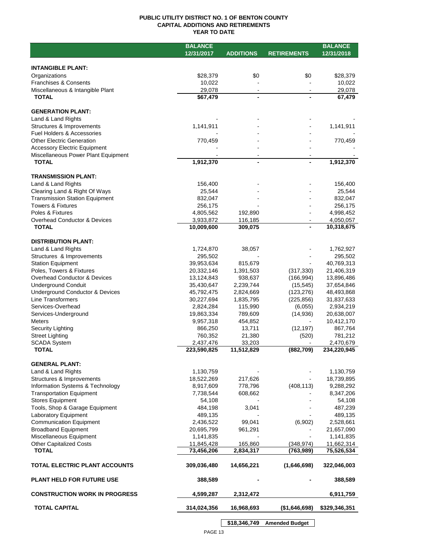#### **PUBLIC UTILITY DISTRICT NO. 1 OF BENTON COUNTY CAPITAL ADDITIONS AND RETIREMENTS YEAR TO DATE**

|                                       | <b>BALANCE</b> |                  |                    | <b>BALANCE</b> |
|---------------------------------------|----------------|------------------|--------------------|----------------|
|                                       | 12/31/2017     | <b>ADDITIONS</b> | <b>RETIREMENTS</b> | 12/31/2018     |
|                                       |                |                  |                    |                |
| <b>INTANGIBLE PLANT:</b>              |                |                  |                    |                |
| Organizations                         | \$28,379       | \$0              | \$0                | \$28,379       |
| <b>Franchises &amp; Consents</b>      | 10,022         |                  |                    | 10,022         |
| Miscellaneous & Intangible Plant      | 29,078         |                  |                    | 29,078         |
| <b>TOTAL</b>                          | \$67,479       |                  |                    | 67,479         |
|                                       |                |                  |                    |                |
| <b>GENERATION PLANT:</b>              |                |                  |                    |                |
| Land & Land Rights                    |                |                  |                    |                |
| Structures & Improvements             | 1,141,911      |                  |                    | 1,141,911      |
| Fuel Holders & Accessories            |                |                  |                    |                |
| <b>Other Electric Generation</b>      | 770,459        |                  |                    | 770,459        |
| <b>Accessory Electric Equipment</b>   |                |                  |                    |                |
| Miscellaneous Power Plant Equipment   |                |                  |                    |                |
| <b>TOTAL</b>                          | 1,912,370      | -                |                    | 1,912,370      |
|                                       |                |                  |                    |                |
| <b>TRANSMISSION PLANT:</b>            |                |                  |                    |                |
| Land & Land Rights                    | 156,400        |                  |                    | 156,400        |
| Clearing Land & Right Of Ways         | 25,544         |                  |                    | 25,544         |
| <b>Transmission Station Equipment</b> | 832,047        |                  |                    | 832,047        |
| <b>Towers &amp; Fixtures</b>          | 256,175        |                  |                    | 256,175        |
| Poles & Fixtures                      | 4,805,562      | 192,890          |                    | 4,998,452      |
| Overhead Conductor & Devices          | 3,933,872      | 116,185          |                    | 4,050,057      |
| <b>TOTAL</b>                          | 10,009,600     | 309,075          |                    | 10,318,675     |
|                                       |                |                  |                    |                |
| <b>DISTRIBUTION PLANT:</b>            |                |                  |                    |                |
| Land & Land Rights                    | 1,724,870      | 38,057           |                    | 1,762,927      |
| Structures & Improvements             | 295,502        |                  |                    | 295,502        |
| <b>Station Equipment</b>              | 39,953,634     | 815,679          |                    | 40,769,313     |
| Poles, Towers & Fixtures              | 20,332,146     | 1,391,503        | (317, 330)         | 21,406,319     |
| Overhead Conductor & Devices          | 13,124,843     | 938,637          | (166, 994)         | 13,896,486     |
| <b>Underground Conduit</b>            | 35,430,647     | 2,239,744        | (15, 545)          | 37,654,846     |
| Underground Conductor & Devices       | 45,792,475     | 2,824,669        | (123, 276)         | 48,493,868     |
| Line Transformers                     | 30,227,694     | 1,835,795        | (225, 856)         | 31,837,633     |
| Services-Overhead                     | 2,824,284      | 115,990          | (6,055)            | 2,934,219      |
| Services-Underground                  | 19,863,334     | 789,609          | (14, 936)          | 20,638,007     |
| Meters                                | 9,957,318      | 454,852          |                    | 10,412,170     |
| Security Lighting                     | 866,250        | 13,711           | (12, 197)          | 867,764        |
| <b>Street Lighting</b>                | 760,352        | 21,380           | (520)              | 781,212        |
| <b>SCADA System</b>                   | 2,437,476      | 33,203           |                    | 2,470,679      |
| <b>TOTAL</b>                          | 223,590,825    | 11,512,829       | (882, 709)         | 234,220,945    |
|                                       |                |                  |                    |                |
| <b>GENERAL PLANT:</b>                 |                |                  |                    |                |
| Land & Land Rights                    | 1,130,759      |                  |                    | 1,130,759      |
| Structures & Improvements             | 18,522,269     | 217,626          |                    | 18,739,895     |
| Information Systems & Technology      | 8,917,609      | 778,796          | (408, 113)         | 9,288,292      |
| <b>Transportation Equipment</b>       | 7,738,544      | 608,662          |                    | 8,347,206      |
| <b>Stores Equipment</b>               | 54,108         |                  |                    | 54,108         |
| Tools, Shop & Garage Equipment        | 484,198        | 3,041            |                    | 487,239        |
| <b>Laboratory Equipment</b>           | 489,135        |                  |                    | 489,135        |
| <b>Communication Equipment</b>        | 2,436,522      | 99,041           | (6,902)            | 2,528,661      |
| <b>Broadband Equipment</b>            | 20,695,799     | 961,291          |                    | 21,657,090     |
| Miscellaneous Equipment               | 1,141,835      |                  |                    | 1,141,835      |
| <b>Other Capitalized Costs</b>        | 11,845,428     | 165,860          | (348, 974)         | 11,662,314     |
| <b>TOTAL</b>                          | 73,456,206     | 2,834,317        | (763, 989)         | 75,526,534     |
|                                       |                |                  |                    |                |
| <b>TOTAL ELECTRIC PLANT ACCOUNTS</b>  | 309,036,480    | 14,656,221       | (1,646,698)        | 322,046,003    |
|                                       |                |                  |                    |                |
| <b>PLANT HELD FOR FUTURE USE</b>      | 388,589        |                  |                    | 388,589        |
|                                       |                |                  |                    |                |
| <b>CONSTRUCTION WORK IN PROGRESS</b>  | 4,599,287      | 2,312,472        |                    | 6,911,759      |
| <b>TOTAL CAPITAL</b>                  | 314,024,356    | 16,968,693       | (\$1,646,698)      | \$329,346,351  |
|                                       |                |                  |                    |                |
|                                       |                |                  |                    |                |

**\$18,346,749 Amended Budget**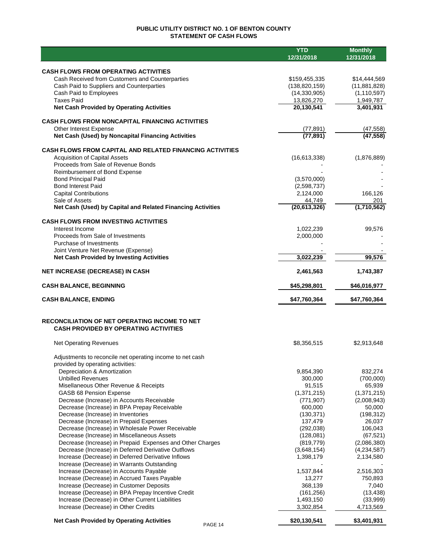### **PUBLIC UTILITY DISTRICT NO. 1 OF BENTON COUNTY STATEMENT OF CASH FLOWS**

|                                                                                                | <b>YTD</b><br>12/31/2018   | <b>Monthly</b><br>12/31/2018 |
|------------------------------------------------------------------------------------------------|----------------------------|------------------------------|
|                                                                                                |                            |                              |
| <b>CASH FLOWS FROM OPERATING ACTIVITIES</b><br>Cash Received from Customers and Counterparties | \$159,455,335              | \$14,444,569                 |
| Cash Paid to Suppliers and Counterparties                                                      | (138, 820, 159)            | (11,881,828)                 |
| Cash Paid to Employees                                                                         | (14, 330, 905)             | (1, 110, 597)                |
| <b>Taxes Paid</b>                                                                              | 13,826,270                 | 1,949,787                    |
| <b>Net Cash Provided by Operating Activities</b>                                               | 20,130,541                 | 3,401,931                    |
| <b>CASH FLOWS FROM NONCAPITAL FINANCING ACTIVITIES</b>                                         |                            |                              |
| Other Interest Expense                                                                         | (77, 891)                  | (47, 558)                    |
| Net Cash (Used) by Noncapital Financing Activities                                             | (77, 891)                  | (47, 558)                    |
| <b>CASH FLOWS FROM CAPITAL AND RELATED FINANCING ACTIVITIES</b>                                |                            |                              |
| <b>Acquisition of Capital Assets</b>                                                           | (16,613,338)               | (1,876,889)                  |
| Proceeds from Sale of Revenue Bonds                                                            |                            |                              |
| Reimbursement of Bond Expense                                                                  |                            |                              |
| <b>Bond Principal Paid</b><br><b>Bond Interest Paid</b>                                        | (3,570,000)<br>(2,598,737) |                              |
| <b>Capital Contributions</b>                                                                   | 2,124,000                  | 166,126                      |
| Sale of Assets                                                                                 | 44,749                     | 201                          |
| Net Cash (Used) by Capital and Related Financing Activities                                    | (20,613,326)               | (1,710,562)                  |
| <b>CASH FLOWS FROM INVESTING ACTIVITIES</b>                                                    |                            |                              |
| Interest Income                                                                                | 1,022,239                  | 99,576                       |
| Proceeds from Sale of Investments                                                              | 2,000,000                  |                              |
| Purchase of Investments                                                                        |                            |                              |
| Joint Venture Net Revenue (Expense)<br><b>Net Cash Provided by Investing Activities</b>        | 3,022,239                  | 99,576                       |
|                                                                                                |                            |                              |
| <b>NET INCREASE (DECREASE) IN CASH</b>                                                         | 2,461,563                  | 1,743,387                    |
| <b>CASH BALANCE, BEGINNING</b>                                                                 | \$45,298,801               | \$46,016,977                 |
| <b>CASH BALANCE, ENDING</b>                                                                    | \$47,760,364               | \$47,760,364                 |
| RECONCILIATION OF NET OPERATING INCOME TO NET                                                  |                            |                              |
| <b>CASH PROVIDED BY OPERATING ACTIVITIES</b>                                                   |                            |                              |
| <b>Net Operating Revenues</b>                                                                  | \$8,356,515                | \$2,913,648                  |
| Adjustments to reconcile net operating income to net cash                                      |                            |                              |
| provided by operating activities:                                                              |                            |                              |
| Depreciation & Amortization                                                                    | 9,854,390                  | 832,274                      |
| <b>Unbilled Revenues</b>                                                                       | 300,000                    | (700,000)                    |
| Misellaneous Other Revenue & Receipts                                                          | 91,515                     | 65,939                       |
| GASB 68 Pension Expense                                                                        | (1,371,215)                | (1, 371, 215)                |
| Decrease (Increase) in Accounts Receivable<br>Decrease (Increase) in BPA Prepay Receivable     | (771, 907)<br>600,000      | (2,008,943)<br>50,000        |
| Decrease (Increase) in Inventories                                                             | (130, 371)                 | (198, 312)                   |
| Decrease (Increase) in Prepaid Expenses                                                        | 137,479                    | 26,037                       |
| Decrease (Increase) in Wholesale Power Receivable                                              | (292, 038)                 | 106,043                      |
| Decrease (Increase) in Miscellaneous Assets                                                    | (128,081)                  | (67, 521)                    |
| Decrease (Increase) in Prepaid Expenses and Other Charges                                      | (819, 779)                 | (2,086,380)                  |
| Decrease (Increase) in Deferred Derivative Outflows                                            | (3,648,154)                | (4,234,587)                  |
| Increase (Decrease) in Deferred Derivative Inflows                                             | 1,398,179                  | 2,134,580                    |
| Increase (Decrease) in Warrants Outstanding                                                    | 1,537,844                  | 2,516,303                    |
| Increase (Decrease) in Accounts Payable<br>Increase (Decrease) in Accrued Taxes Payable        | 13,277                     | 750,893                      |
| Increase (Decrease) in Customer Deposits                                                       | 368,139                    | 7,040                        |
| Increase (Decrease) in BPA Prepay Incentive Credit                                             | (161, 256)                 | (13, 438)                    |
| Increase (Decrease) in Other Current Liabilities                                               | 1,493,150                  | (33,999)                     |
| Increase (Decrease) in Other Credits                                                           | 3,302,854                  | 4,713,569                    |
| <b>Net Cash Provided by Operating Activities</b><br>PAGE 14                                    | \$20,130,541               | \$3,401,931                  |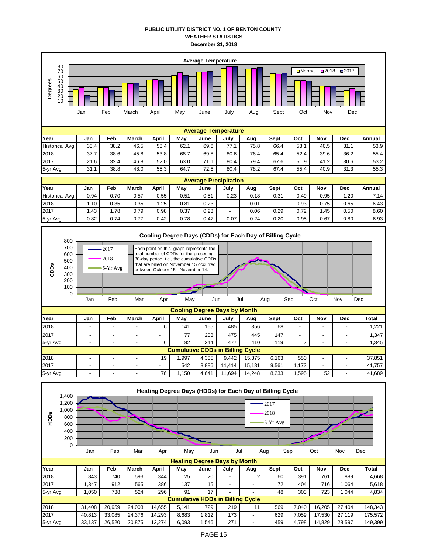#### **PUBLIC UTILITY DISTRICT NO. 1 OF BENTON COUNTY WEATHER STATISTICS December 31, 2018**

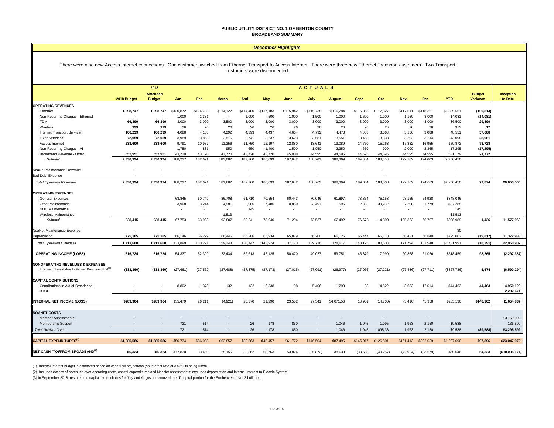#### **PUBLIC UTILITY DISTRICT NO. 1 OF BENTON COUNTY BROADBAND SUMMARY**

#### *December Highlights*

#### There were nine new Access Internet connections. One customer switched from Ethernet Transport to Access Internet. There were three new Ethernet Transport customers. Two Transport customers were disconnected.

|                                                             |                | <b>ACTUALS</b><br>2018          |                          |                          |                          |              |                          |                          |                          |               |                |                          |                          |                          |             |                                  |                      |
|-------------------------------------------------------------|----------------|---------------------------------|--------------------------|--------------------------|--------------------------|--------------|--------------------------|--------------------------|--------------------------|---------------|----------------|--------------------------|--------------------------|--------------------------|-------------|----------------------------------|----------------------|
|                                                             | 2018 Budget    | <b>Amended</b><br><b>Budget</b> | Jan                      | Feb                      | <b>March</b>             | <b>April</b> | May                      | June                     | July                     | <b>August</b> | <b>Sept</b>    | Oct                      | <b>Nov</b>               | Dec                      | <b>YTD</b>  | <b>Budget</b><br><b>Variance</b> | Inception<br>to Date |
| <b>OPERATING REVENUES</b>                                   |                |                                 |                          |                          |                          |              |                          |                          |                          |               |                |                          |                          |                          |             |                                  |                      |
| Ethernet                                                    | 1,298,747      | 1.298.747                       | \$120,872                | \$114,785                | \$114,122                | \$114,480    | \$117,183                | \$115,942                | \$115,738                | \$116,284     | \$116,858      | \$117,327                | \$117.611                | \$118,361                | \$1,399,561 | (100, 814)                       |                      |
| Non-Recurring Charges - Ethernet                            | $\blacksquare$ |                                 | 1,000                    | 1,331                    | ٠                        | 1,000        | 500                      | 1,000                    | 1,500                    | 1,000         | 1,600          | 1,000                    | 1,150                    | 3,000                    | 14,081      | (14, 081)                        |                      |
| <b>TDM</b>                                                  | 66,399         | 66,399                          | 3,000                    | 3,000                    | 3,500                    | 3,000        | 3,000                    | 3,000                    | 3,000                    | 3,000         | 3,000          | 3,000                    | 3,000                    | 3,000                    | 36,500      | 29,899                           |                      |
| Wireless                                                    | 329            | 329                             | 26                       | 26                       | 26                       | 26           | 26                       | 26                       | 26                       | 26            | 26             | 26                       | 26                       | 26                       | 312         | 17                               |                      |
| Internet Transport Service                                  | 106,239        | 106,239                         | 4,088                    | 4,108                    | 4,292                    | 4,393        | 4,437                    | 4,664                    | 4,732                    | 4,473         | 4,058          | 3,063                    | 3,156                    | 3,088                    | 48,551      | 57,688                           |                      |
| <b>Fixed Wireless</b>                                       | 72,059         | 72,059                          | 3,989                    | 3,863                    | 3,816                    | 3,741        | 3,637                    | 3,623                    | 3,581                    | 3,551         | 3,458          | 3,333                    | 3,292                    | 3,214                    | 43,098      | 28,961                           |                      |
| Access Internet                                             | 233,600        | 233,600                         | 9,791                    | 10,957                   | 11,256                   | 11,750       | 12,197                   | 12,880                   | 13,641                   | 13,089        | 14,760         | 15,263                   | 17,332                   | 16,955                   | 159,872     | 73,728                           |                      |
| Non-Recurring Charges - Al                                  | $\blacksquare$ | $\blacksquare$                  | 1,750                    | 831                      | 950                      | 650          | 1,400                    | 1,500                    | 1,950                    | 2,350         | 650            | 900                      | 2,000                    | 2,365                    | 17,295      | (17, 295)                        |                      |
| Broadband Revenue - Other                                   | 552.951        | 552.951                         | 43.720                   | 43.720                   | 43.720                   | 43.720       | 43.720                   | 45.008                   | 44.595                   | 44.595        | 44.595         | 44.595                   | 44.595                   | 44.595                   | 531.179     | 21,772                           |                      |
| Subtotal                                                    | 2,330,324      | 2,330,324                       | 188,237                  | 182,621                  | 181,682                  | 182,760      | 186,099                  | 187,642                  | 188,763                  | 188,369       | 189,004        | 188,508                  | 192,162                  | 194,603                  | 2,250,450   |                                  |                      |
| NoaNet Maintenance Revenue                                  |                |                                 |                          |                          |                          |              |                          |                          |                          |               |                |                          |                          |                          |             |                                  |                      |
| <b>Bad Debt Expense</b>                                     |                |                                 |                          |                          |                          |              |                          |                          |                          |               |                |                          |                          |                          |             |                                  |                      |
| <b>Total Operating Revenues</b>                             | 2,330,324      | 2,330,324                       | 188,237                  | 182,621                  | 181,682                  | 182,760      | 186,099                  | 187,642                  | 188,763                  | 188,369       | 189,004        | 188,508                  | 192,162                  | 194,603                  | \$2,250,450 | 79,874                           | 20,653,565           |
| <b>OPERATING EXPENSES</b>                                   |                |                                 |                          |                          |                          |              |                          |                          |                          |               |                |                          |                          |                          |             |                                  |                      |
| General Expenses                                            |                |                                 | 63,845                   | 60,749                   | 86,708                   | 61,710       | 70,554                   | 60,443                   | 70,046                   | 61,897        | 73,854         | 75,158                   | 98,155                   | 64,928                   | \$848,046   |                                  |                      |
| Other Maintenance                                           |                |                                 | 3,908                    | 3,244                    | 4,581                    | 2,086        | 7,486                    | 10,850                   | 3,491                    | 595           | 2,823          | 39,232                   | 7,208                    | 1,779                    | \$87,285    |                                  |                      |
| <b>NOC Maintenance</b>                                      |                |                                 | $\overline{\phantom{a}}$ | $\overline{\phantom{a}}$ | $\overline{\phantom{a}}$ | 145          | $\overline{\phantom{a}}$ | $\sim$                   | $\overline{\phantom{a}}$ |               | $\overline{a}$ | $\overline{\phantom{a}}$ | $\overline{\phantom{a}}$ | $\overline{\phantom{a}}$ | 145         |                                  |                      |
| Wireless Maintenance                                        |                |                                 |                          |                          | 1,513                    |              |                          |                          |                          |               |                |                          |                          |                          | \$1,513     |                                  |                      |
| Subtotal                                                    | 938,415        | 938,415                         | 67,753                   | 63,993                   | 92,802                   | 63,941       | 78,040                   | 71,294                   | 73,537                   | 62,492        | 76,678         | 114,390                  | 105,363                  | 66,707                   | \$936,989   | 1,426                            | 11,577,969           |
| NoaNet Maintenance Expense                                  | $\blacksquare$ |                                 |                          | $\overline{\phantom{a}}$ | $\overline{\phantom{a}}$ |              |                          | $\overline{\phantom{a}}$ |                          |               |                |                          |                          |                          | \$0         |                                  |                      |
| Depreciation                                                | 775,185        | 775,185                         | 66,146                   | 66,229                   | 66.446                   | 66.206       | 65,934                   | 65,879                   | 66,200                   | 66,126        | 66.447         | 66,118                   | 66.431                   | 66,840                   | \$795,002   | (19, 817)                        | 11,372,933           |
| <b>Total Operating Expenses</b>                             | 1,713,600      | 1,713,600                       | 133,899                  | 130,221                  | 159,248                  | 130,147      | 143,974                  | 137,173                  | 139,736                  | 128,617       | 143,125        | 180,508                  | 171,794                  | 133,548                  | \$1,731,991 | (18, 391)                        | 22,950,902           |
| <b>OPERATING INCOME (LOSS)</b>                              | 616,724        | 616,724                         | 54,337                   | 52,399                   | 22,434                   | 52,613       | 42,125                   | 50,470                   | 49,027                   | 59,751        | 45,879         | 7,999                    | 20,368                   | 61,056                   | \$518,459   | 98,265                           | (2, 297, 337)        |
| <b>NONOPERATING REVENUES &amp; EXPENSES</b>                 |                |                                 |                          |                          |                          |              |                          |                          |                          |               |                |                          |                          |                          |             |                                  |                      |
| Internal Interest due to Power Business Unit <sup>(1)</sup> | (333, 360)     | (333, 360)                      | (27, 661)                | (27, 562)                | (27, 488)                | (27, 375)    | (27, 173)                | (27, 015)                | (27,091)                 | (26, 977)     | (27,076)       | (27, 221)                | (27, 436)                | (27, 711)                | (\$327,786) | 5,574                            | (6,590,294)          |
| <b>CAPITAL CONTRIBUTIONS</b>                                |                |                                 |                          |                          |                          |              |                          |                          |                          |               |                |                          |                          |                          |             |                                  |                      |
| Contributions in Aid of Broadband                           |                |                                 | 8,802                    | 1,373                    | 132                      | 132          | 6,338                    | 98                       | 5,406                    | 1,298         | 98             | 4,522                    | 3,653                    | 12,614                   | \$44,463    | 44,463                           | 4,950,123            |
| <b>BTOP</b>                                                 |                |                                 |                          | $\overline{\phantom{a}}$ |                          |              |                          |                          |                          |               |                |                          |                          |                          |             |                                  | 2,282,671            |
| <b>INTERNAL NET INCOME (LOSS)</b>                           | \$283,364      | \$283,364                       | \$35,479                 | 26,211                   | (4,921)                  | 25,370       | 21,290                   | 23,552                   | 27,341                   | 34,071.56     | 18.901         | (14, 700)                | (3, 416)                 | 45,958                   | \$235,136   | \$148,302                        | (1,654,837)          |
| <b>NOANET COSTS</b>                                         |                |                                 |                          |                          |                          |              |                          |                          |                          |               |                |                          |                          |                          |             |                                  |                      |
| <b>Member Assessments</b>                                   |                |                                 |                          | $\overline{\phantom{a}}$ |                          |              |                          |                          |                          |               |                |                          |                          | $\sim$                   | $\sim$      |                                  | \$3,159,092          |
| Membership Support                                          |                |                                 | 721                      | 514                      |                          | 26           | 178                      | 850                      |                          | 1,046         | 1.045          | 1.095                    | 1.963                    | 2,150                    | \$9,588     |                                  | 136,500              |
| <b>Total NoaNet Costs</b>                                   |                |                                 | 721                      | 514                      | $\overline{\phantom{a}}$ | 26           | 178                      | 850                      | $\overline{\phantom{a}}$ | 1,046         | 1,045          | 1,095.38                 | 1,963                    | 2,150                    | \$9,588     | (\$9,588)                        | \$3,295,592          |
| <b>CAPITAL EXPENDITURES</b> <sup>(3)</sup>                  |                |                                 |                          |                          |                          |              |                          |                          |                          |               |                |                          |                          |                          |             |                                  |                      |
|                                                             | \$1,385,586    | \$1,385,586                     | \$50,734                 | \$86,038                 | \$63,857                 | \$80,563     | \$45,457                 | \$61,772                 | \$146,504                | \$87,495      | \$145,017      | \$126,801                | \$161,413                | \$232,039                | \$1,287,690 | \$97,896                         | \$23,047,972         |
| NET CASH (TO)/FROM BROADBAND <sup>(2)</sup>                 | \$6,323        | \$6,323                         | \$77,830                 | 33,450                   | 25,155                   | 38,362       | 68,763                   | 53,824                   | (25, 872)                | 38,633        | (33, 638)      | (49, 257)                | (72, 924)                | (93, 679)                | \$60,646    | 54,323                           | (\$10,035,174)       |

(1) Internal interest budget is estimated based on cash flow projections (an interest rate of 3.53% is being used).

(2) Includes excess of revenues over operating costs, capital expenditures and NoaNet assessments; excludes depreciation and internal interest to Electric System

(3) In September 2018, restated the capital expenditures for July and August to removed the IT capital portion for the Sunheaven Level 3 buildout.